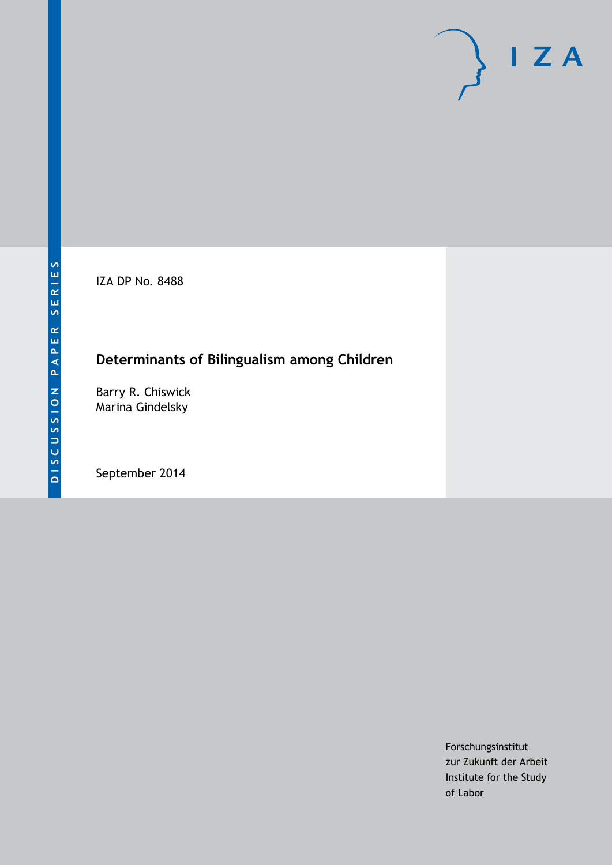IZA DP No. 8488

# **Determinants of Bilingualism among Children**

Barry R. Chiswick Marina Gindelsky

September 2014

Forschungsinstitut zur Zukunft der Arbeit Institute for the Study of Labor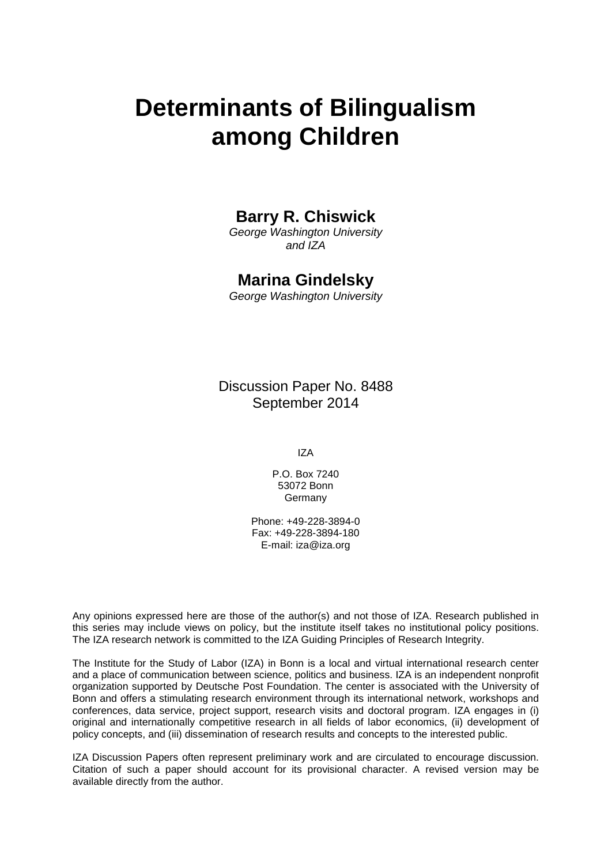# **Determinants of Bilingualism among Children**

# **Barry R. Chiswick**

*George Washington University and IZA*

# **Marina Gindelsky**

*George Washington University*

Discussion Paper No. 8488 September 2014

IZA

P.O. Box 7240 53072 Bonn Germany

Phone: +49-228-3894-0 Fax: +49-228-3894-180 E-mail: [iza@iza.org](mailto:iza@iza.org)

Any opinions expressed here are those of the author(s) and not those of IZA. Research published in this series may include views on policy, but the institute itself takes no institutional policy positions. The IZA research network is committed to the IZA Guiding Principles of Research Integrity.

The Institute for the Study of Labor (IZA) in Bonn is a local and virtual international research center and a place of communication between science, politics and business. IZA is an independent nonprofit organization supported by Deutsche Post Foundation. The center is associated with the University of Bonn and offers a stimulating research environment through its international network, workshops and conferences, data service, project support, research visits and doctoral program. IZA engages in (i) original and internationally competitive research in all fields of labor economics, (ii) development of policy concepts, and (iii) dissemination of research results and concepts to the interested public.

<span id="page-1-0"></span>IZA Discussion Papers often represent preliminary work and are circulated to encourage discussion. Citation of such a paper should account for its provisional character. A revised version may be available directly from the author.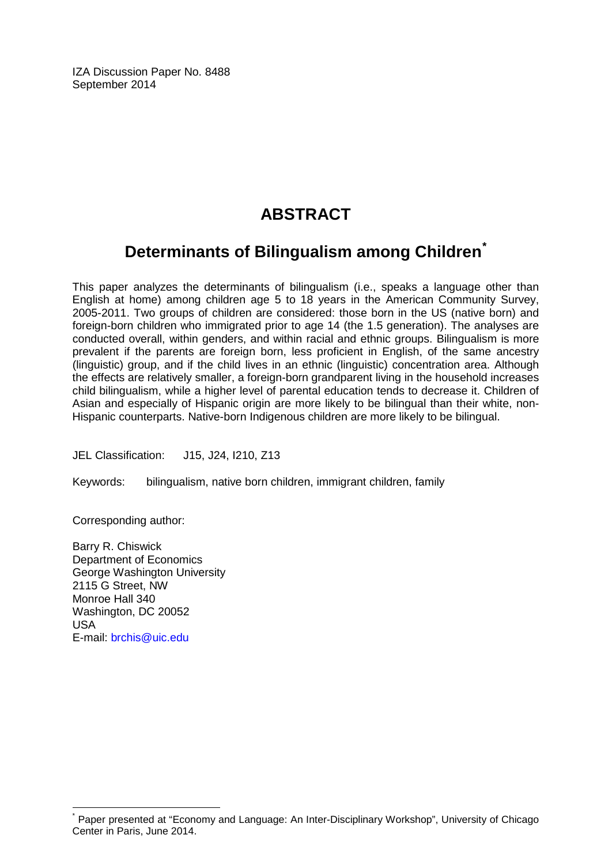IZA Discussion Paper No. 8488 September 2014

# **ABSTRACT**

# **Determinants of Bilingualism among Children[\\*](#page-1-0)**

This paper analyzes the determinants of bilingualism (i.e., speaks a language other than English at home) among children age 5 to 18 years in the American Community Survey, 2005-2011. Two groups of children are considered: those born in the US (native born) and foreign-born children who immigrated prior to age 14 (the 1.5 generation). The analyses are conducted overall, within genders, and within racial and ethnic groups. Bilingualism is more prevalent if the parents are foreign born, less proficient in English, of the same ancestry (linguistic) group, and if the child lives in an ethnic (linguistic) concentration area. Although the effects are relatively smaller, a foreign-born grandparent living in the household increases child bilingualism, while a higher level of parental education tends to decrease it. Children of Asian and especially of Hispanic origin are more likely to be bilingual than their white, non-Hispanic counterparts. Native-born Indigenous children are more likely to be bilingual.

JEL Classification: J15, J24, I210, Z13

Keywords: bilingualism, native born children, immigrant children, family

Corresponding author:

Barry R. Chiswick Department of Economics George Washington University 2115 G Street, NW Monroe Hall 340 Washington, DC 20052 USA E-mail: [brchis@uic.edu](mailto:brchis@uic.edu)

Paper presented at "Economy and Language: An Inter-Disciplinary Workshop", University of Chicago Center in Paris, June 2014.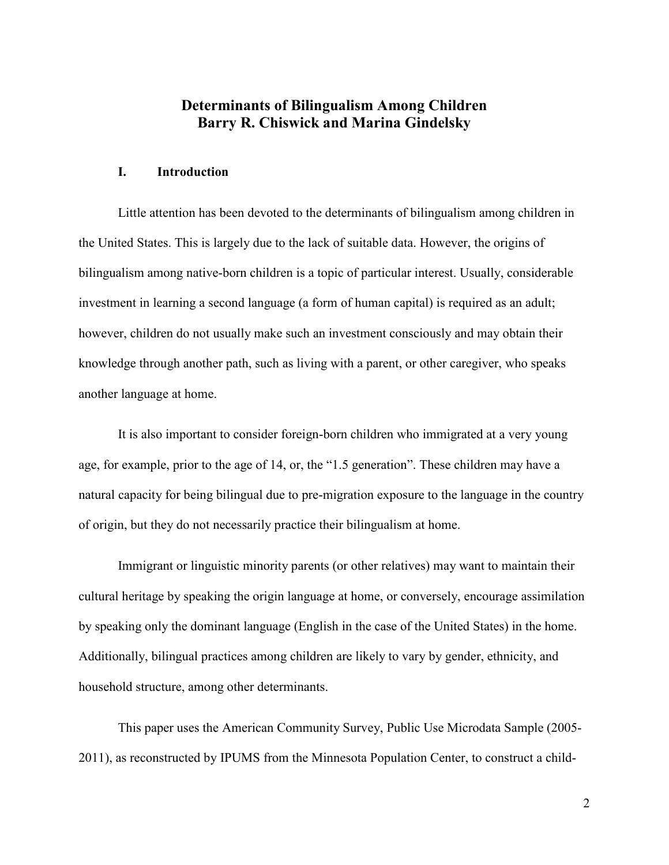### **Determinants of Bilingualism Among Children Barry R. Chiswick and Marina Gindelsky**

#### **I. Introduction**

Little attention has been devoted to the determinants of bilingualism among children in the United States. This is largely due to the lack of suitable data. However, the origins of bilingualism among native-born children is a topic of particular interest. Usually, considerable investment in learning a second language (a form of human capital) is required as an adult; however, children do not usually make such an investment consciously and may obtain their knowledge through another path, such as living with a parent, or other caregiver, who speaks another language at home.

It is also important to consider foreign-born children who immigrated at a very young age, for example, prior to the age of 14, or, the "1.5 generation". These children may have a natural capacity for being bilingual due to pre-migration exposure to the language in the country of origin, but they do not necessarily practice their bilingualism at home.

Immigrant or linguistic minority parents (or other relatives) may want to maintain their cultural heritage by speaking the origin language at home, or conversely, encourage assimilation by speaking only the dominant language (English in the case of the United States) in the home. Additionally, bilingual practices among children are likely to vary by gender, ethnicity, and household structure, among other determinants.

This paper uses the American Community Survey, Public Use Microdata Sample (2005- 2011), as reconstructed by IPUMS from the Minnesota Population Center, to construct a child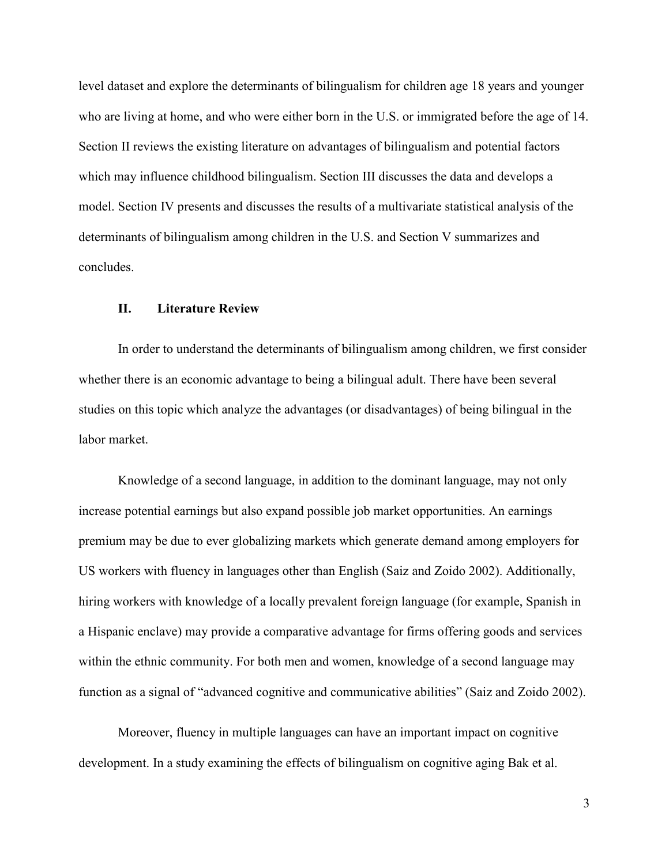level dataset and explore the determinants of bilingualism for children age 18 years and younger who are living at home, and who were either born in the U.S. or immigrated before the age of 14. Section II reviews the existing literature on advantages of bilingualism and potential factors which may influence childhood bilingualism. Section III discusses the data and develops a model. Section IV presents and discusses the results of a multivariate statistical analysis of the determinants of bilingualism among children in the U.S. and Section V summarizes and concludes.

#### **II. Literature Review**

In order to understand the determinants of bilingualism among children, we first consider whether there is an economic advantage to being a bilingual adult. There have been several studies on this topic which analyze the advantages (or disadvantages) of being bilingual in the labor market.

Knowledge of a second language, in addition to the dominant language, may not only increase potential earnings but also expand possible job market opportunities. An earnings premium may be due to ever globalizing markets which generate demand among employers for US workers with fluency in languages other than English (Saiz and Zoido 2002). Additionally, hiring workers with knowledge of a locally prevalent foreign language (for example, Spanish in a Hispanic enclave) may provide a comparative advantage for firms offering goods and services within the ethnic community. For both men and women, knowledge of a second language may function as a signal of "advanced cognitive and communicative abilities" (Saiz and Zoido 2002).

Moreover, fluency in multiple languages can have an important impact on cognitive development. In a study examining the effects of bilingualism on cognitive aging Bak et al.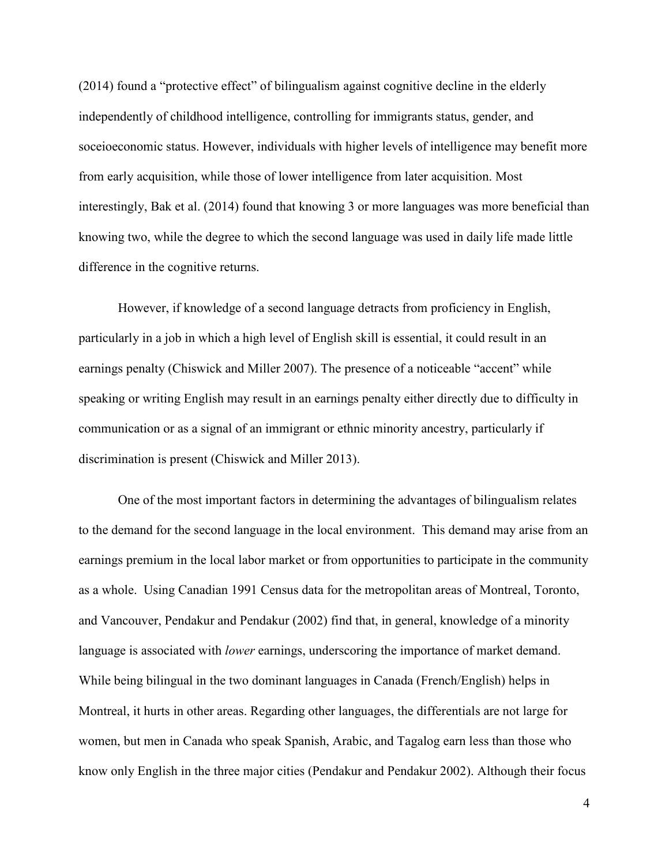(2014) found a "protective effect" of bilingualism against cognitive decline in the elderly independently of childhood intelligence, controlling for immigrants status, gender, and soceioeconomic status. However, individuals with higher levels of intelligence may benefit more from early acquisition, while those of lower intelligence from later acquisition. Most interestingly, Bak et al. (2014) found that knowing 3 or more languages was more beneficial than knowing two, while the degree to which the second language was used in daily life made little difference in the cognitive returns.

However, if knowledge of a second language detracts from proficiency in English, particularly in a job in which a high level of English skill is essential, it could result in an earnings penalty (Chiswick and Miller 2007). The presence of a noticeable "accent" while speaking or writing English may result in an earnings penalty either directly due to difficulty in communication or as a signal of an immigrant or ethnic minority ancestry, particularly if discrimination is present (Chiswick and Miller 2013).

One of the most important factors in determining the advantages of bilingualism relates to the demand for the second language in the local environment. This demand may arise from an earnings premium in the local labor market or from opportunities to participate in the community as a whole. Using Canadian 1991 Census data for the metropolitan areas of Montreal, Toronto, and Vancouver, Pendakur and Pendakur (2002) find that, in general, knowledge of a minority language is associated with *lower* earnings, underscoring the importance of market demand. While being bilingual in the two dominant languages in Canada (French/English) helps in Montreal, it hurts in other areas. Regarding other languages, the differentials are not large for women, but men in Canada who speak Spanish, Arabic, and Tagalog earn less than those who know only English in the three major cities (Pendakur and Pendakur 2002). Although their focus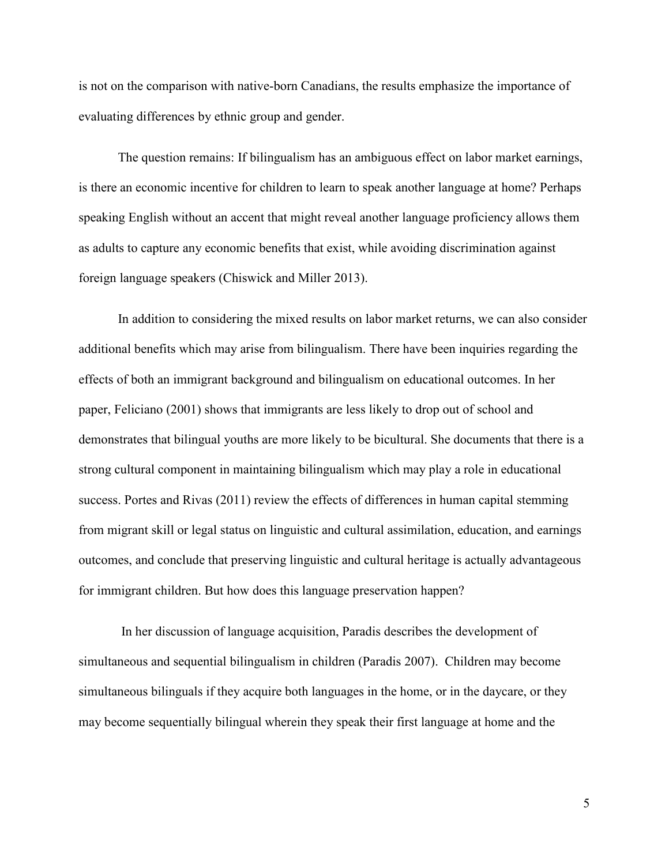is not on the comparison with native-born Canadians, the results emphasize the importance of evaluating differences by ethnic group and gender.

The question remains: If bilingualism has an ambiguous effect on labor market earnings, is there an economic incentive for children to learn to speak another language at home? Perhaps speaking English without an accent that might reveal another language proficiency allows them as adults to capture any economic benefits that exist, while avoiding discrimination against foreign language speakers (Chiswick and Miller 2013).

In addition to considering the mixed results on labor market returns, we can also consider additional benefits which may arise from bilingualism. There have been inquiries regarding the effects of both an immigrant background and bilingualism on educational outcomes. In her paper, Feliciano (2001) shows that immigrants are less likely to drop out of school and demonstrates that bilingual youths are more likely to be bicultural. She documents that there is a strong cultural component in maintaining bilingualism which may play a role in educational success. Portes and Rivas (2011) review the effects of differences in human capital stemming from migrant skill or legal status on linguistic and cultural assimilation, education, and earnings outcomes, and conclude that preserving linguistic and cultural heritage is actually advantageous for immigrant children. But how does this language preservation happen?

 In her discussion of language acquisition, Paradis describes the development of simultaneous and sequential bilingualism in children (Paradis 2007). Children may become simultaneous bilinguals if they acquire both languages in the home, or in the daycare, or they may become sequentially bilingual wherein they speak their first language at home and the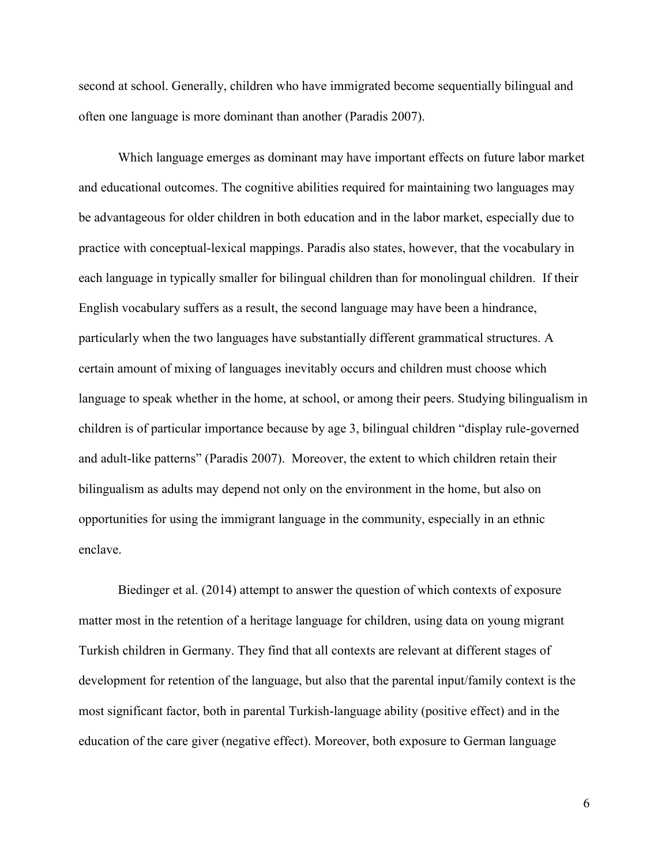second at school. Generally, children who have immigrated become sequentially bilingual and often one language is more dominant than another (Paradis 2007).

Which language emerges as dominant may have important effects on future labor market and educational outcomes. The cognitive abilities required for maintaining two languages may be advantageous for older children in both education and in the labor market, especially due to practice with conceptual-lexical mappings. Paradis also states, however, that the vocabulary in each language in typically smaller for bilingual children than for monolingual children. If their English vocabulary suffers as a result, the second language may have been a hindrance, particularly when the two languages have substantially different grammatical structures. A certain amount of mixing of languages inevitably occurs and children must choose which language to speak whether in the home, at school, or among their peers. Studying bilingualism in children is of particular importance because by age 3, bilingual children "display rule-governed and adult-like patterns" (Paradis 2007). Moreover, the extent to which children retain their bilingualism as adults may depend not only on the environment in the home, but also on opportunities for using the immigrant language in the community, especially in an ethnic enclave.

Biedinger et al. (2014) attempt to answer the question of which contexts of exposure matter most in the retention of a heritage language for children, using data on young migrant Turkish children in Germany. They find that all contexts are relevant at different stages of development for retention of the language, but also that the parental input/family context is the most significant factor, both in parental Turkish-language ability (positive effect) and in the education of the care giver (negative effect). Moreover, both exposure to German language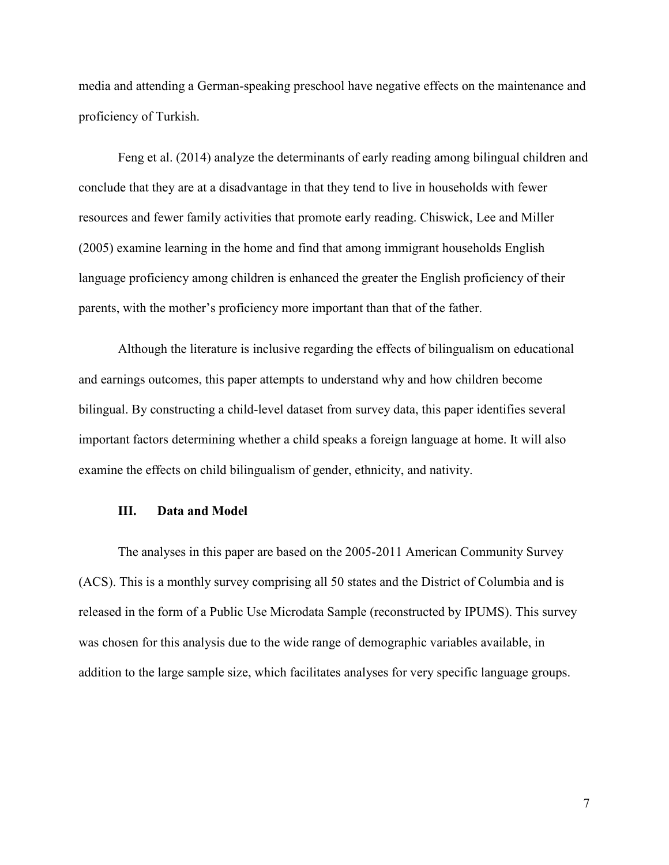media and attending a German-speaking preschool have negative effects on the maintenance and proficiency of Turkish.

Feng et al. (2014) analyze the determinants of early reading among bilingual children and conclude that they are at a disadvantage in that they tend to live in households with fewer resources and fewer family activities that promote early reading. Chiswick, Lee and Miller (2005) examine learning in the home and find that among immigrant households English language proficiency among children is enhanced the greater the English proficiency of their parents, with the mother's proficiency more important than that of the father.

Although the literature is inclusive regarding the effects of bilingualism on educational and earnings outcomes, this paper attempts to understand why and how children become bilingual. By constructing a child-level dataset from survey data, this paper identifies several important factors determining whether a child speaks a foreign language at home. It will also examine the effects on child bilingualism of gender, ethnicity, and nativity.

#### **III. Data and Model**

The analyses in this paper are based on the 2005-2011 American Community Survey (ACS). This is a monthly survey comprising all 50 states and the District of Columbia and is released in the form of a Public Use Microdata Sample (reconstructed by IPUMS). This survey was chosen for this analysis due to the wide range of demographic variables available, in addition to the large sample size, which facilitates analyses for very specific language groups.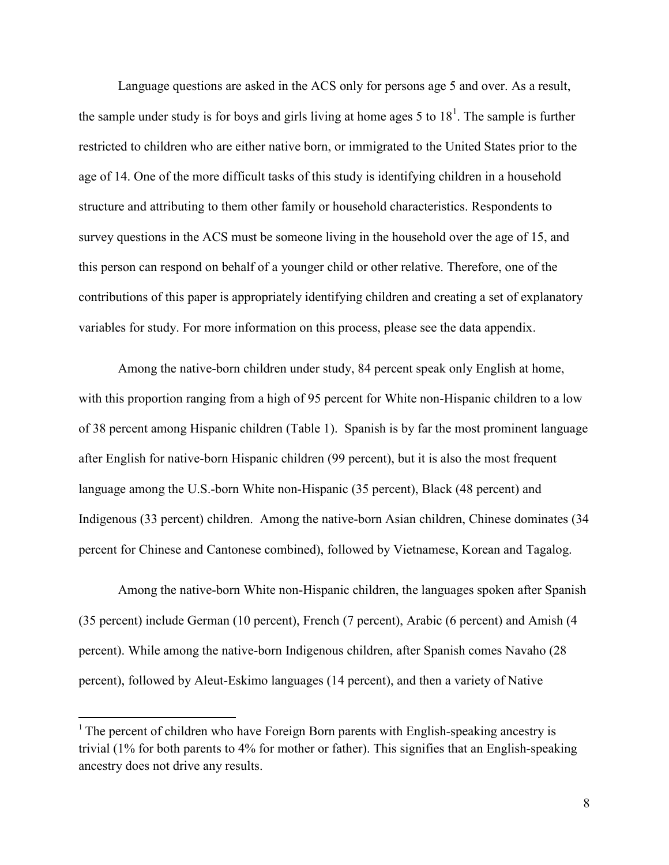Language questions are asked in the ACS only for persons age 5 and over. As a result, the sample under study is for boys and girls living at home ages 5 to  $18<sup>1</sup>$ . The sample is further restricted to children who are either native born, or immigrated to the United States prior to the age of 14. One of the more difficult tasks of this study is identifying children in a household structure and attributing to them other family or household characteristics. Respondents to survey questions in the ACS must be someone living in the household over the age of 15, and this person can respond on behalf of a younger child or other relative. Therefore, one of the contributions of this paper is appropriately identifying children and creating a set of explanatory variables for study. For more information on this process, please see the data appendix.

Among the native-born children under study, 84 percent speak only English at home, with this proportion ranging from a high of 95 percent for White non-Hispanic children to a low of 38 percent among Hispanic children (Table 1). Spanish is by far the most prominent language after English for native-born Hispanic children (99 percent), but it is also the most frequent language among the U.S.-born White non-Hispanic (35 percent), Black (48 percent) and Indigenous (33 percent) children. Among the native-born Asian children, Chinese dominates (34 percent for Chinese and Cantonese combined), followed by Vietnamese, Korean and Tagalog.

Among the native-born White non-Hispanic children, the languages spoken after Spanish (35 percent) include German (10 percent), French (7 percent), Arabic (6 percent) and Amish (4 percent). While among the native-born Indigenous children, after Spanish comes Navaho (28 percent), followed by Aleut-Eskimo languages (14 percent), and then a variety of Native

 $\overline{a}$ 

 $<sup>1</sup>$  The percent of children who have Foreign Born parents with English-speaking ancestry is</sup> trivial (1% for both parents to 4% for mother or father). This signifies that an English-speaking ancestry does not drive any results.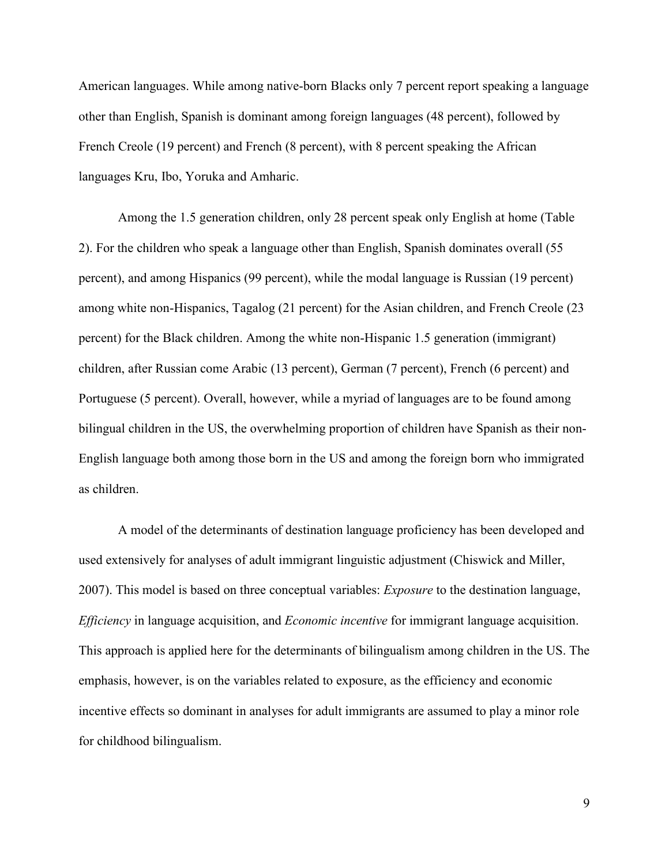American languages. While among native-born Blacks only 7 percent report speaking a language other than English, Spanish is dominant among foreign languages (48 percent), followed by French Creole (19 percent) and French (8 percent), with 8 percent speaking the African languages Kru, Ibo, Yoruka and Amharic.

Among the 1.5 generation children, only 28 percent speak only English at home (Table 2). For the children who speak a language other than English, Spanish dominates overall (55 percent), and among Hispanics (99 percent), while the modal language is Russian (19 percent) among white non-Hispanics, Tagalog (21 percent) for the Asian children, and French Creole (23 percent) for the Black children. Among the white non-Hispanic 1.5 generation (immigrant) children, after Russian come Arabic (13 percent), German (7 percent), French (6 percent) and Portuguese (5 percent). Overall, however, while a myriad of languages are to be found among bilingual children in the US, the overwhelming proportion of children have Spanish as their non-English language both among those born in the US and among the foreign born who immigrated as children.

A model of the determinants of destination language proficiency has been developed and used extensively for analyses of adult immigrant linguistic adjustment (Chiswick and Miller, 2007). This model is based on three conceptual variables: *Exposure* to the destination language, *Efficiency* in language acquisition, and *Economic incentive* for immigrant language acquisition. This approach is applied here for the determinants of bilingualism among children in the US. The emphasis, however, is on the variables related to exposure, as the efficiency and economic incentive effects so dominant in analyses for adult immigrants are assumed to play a minor role for childhood bilingualism.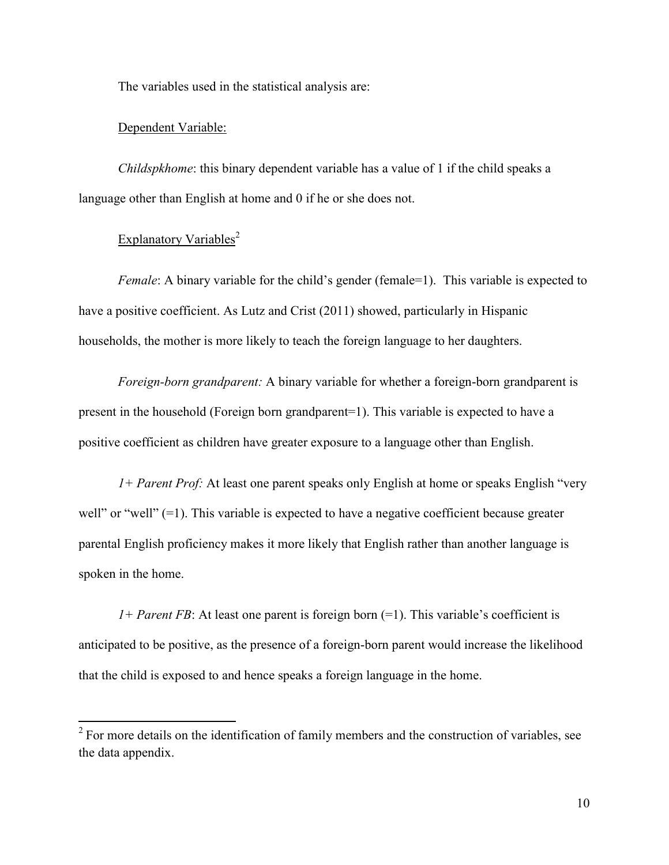The variables used in the statistical analysis are:

#### Dependent Variable:

*Childspkhome*: this binary dependent variable has a value of 1 if the child speaks a language other than English at home and 0 if he or she does not.

### Explanatory Variables<sup>2</sup>

 $\overline{a}$ 

*Female*: A binary variable for the child's gender (female=1). This variable is expected to have a positive coefficient. As Lutz and Crist (2011) showed, particularly in Hispanic households, the mother is more likely to teach the foreign language to her daughters.

*Foreign-born grandparent:* A binary variable for whether a foreign-born grandparent is present in the household (Foreign born grandparent=1). This variable is expected to have a positive coefficient as children have greater exposure to a language other than English.

*1+ Parent Prof:* At least one parent speaks only English at home or speaks English "very well" or "well" (=1). This variable is expected to have a negative coefficient because greater parental English proficiency makes it more likely that English rather than another language is spoken in the home.

*1+ Parent FB*: At least one parent is foreign born  $(=1)$ . This variable's coefficient is anticipated to be positive, as the presence of a foreign-born parent would increase the likelihood that the child is exposed to and hence speaks a foreign language in the home.

 $2^2$  For more details on the identification of family members and the construction of variables, see the data appendix.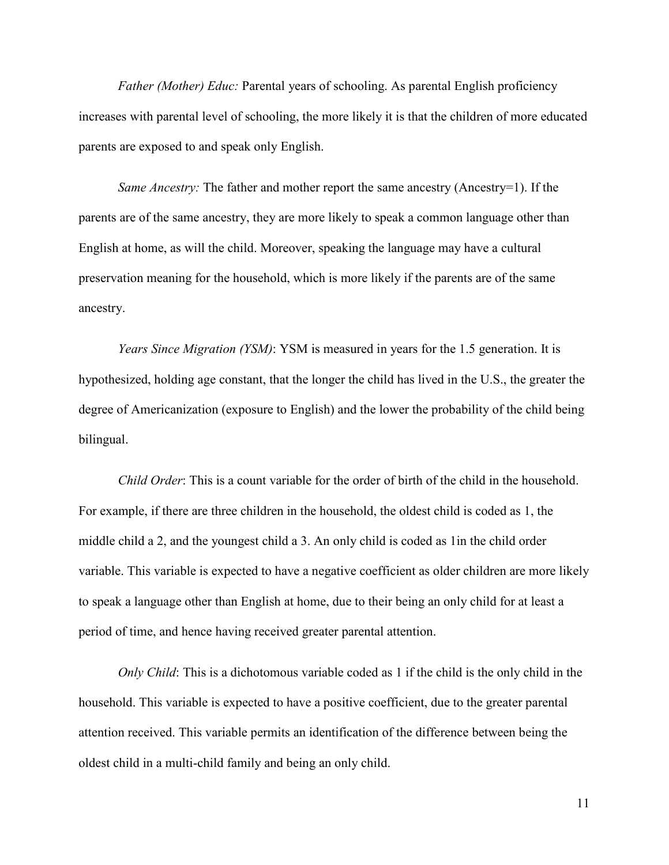*Father (Mother) Educ:* Parental years of schooling. As parental English proficiency increases with parental level of schooling, the more likely it is that the children of more educated parents are exposed to and speak only English.

*Same Ancestry:* The father and mother report the same ancestry (Ancestry=1). If the parents are of the same ancestry, they are more likely to speak a common language other than English at home, as will the child. Moreover, speaking the language may have a cultural preservation meaning for the household, which is more likely if the parents are of the same ancestry.

*Years Since Migration (YSM)*: YSM is measured in years for the 1.5 generation. It is hypothesized, holding age constant, that the longer the child has lived in the U.S., the greater the degree of Americanization (exposure to English) and the lower the probability of the child being bilingual.

*Child Order*: This is a count variable for the order of birth of the child in the household. For example, if there are three children in the household, the oldest child is coded as 1, the middle child a 2, and the youngest child a 3. An only child is coded as 1in the child order variable. This variable is expected to have a negative coefficient as older children are more likely to speak a language other than English at home, due to their being an only child for at least a period of time, and hence having received greater parental attention.

*Only Child*: This is a dichotomous variable coded as 1 if the child is the only child in the household. This variable is expected to have a positive coefficient, due to the greater parental attention received. This variable permits an identification of the difference between being the oldest child in a multi-child family and being an only child.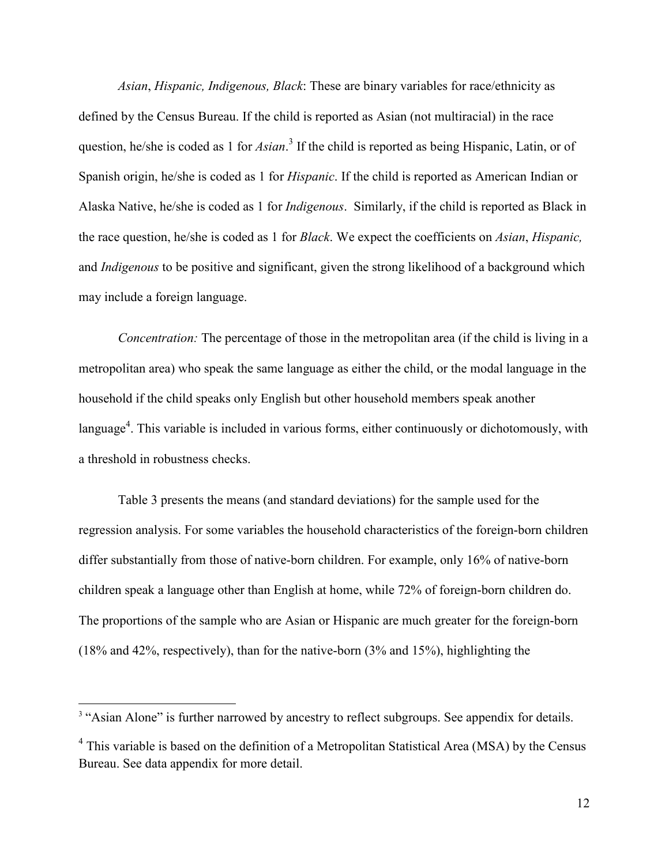*Asian*, *Hispanic, Indigenous, Black*: These are binary variables for race/ethnicity as defined by the Census Bureau. If the child is reported as Asian (not multiracial) in the race question, he/she is coded as 1 for *Asian*.<sup>3</sup> If the child is reported as being Hispanic, Latin, or of Spanish origin, he/she is coded as 1 for *Hispanic*. If the child is reported as American Indian or Alaska Native, he/she is coded as 1 for *Indigenous*. Similarly, if the child is reported as Black in the race question, he/she is coded as 1 for *Black*. We expect the coefficients on *Asian*, *Hispanic,*  and *Indigenous* to be positive and significant, given the strong likelihood of a background which may include a foreign language.

*Concentration:* The percentage of those in the metropolitan area (if the child is living in a metropolitan area) who speak the same language as either the child, or the modal language in the household if the child speaks only English but other household members speak another language<sup>4</sup>. This variable is included in various forms, either continuously or dichotomously, with a threshold in robustness checks.

Table 3 presents the means (and standard deviations) for the sample used for the regression analysis. For some variables the household characteristics of the foreign-born children differ substantially from those of native-born children. For example, only 16% of native-born children speak a language other than English at home, while 72% of foreign-born children do. The proportions of the sample who are Asian or Hispanic are much greater for the foreign-born (18% and 42%, respectively), than for the native-born (3% and 15%), highlighting the

 $\overline{a}$ 

<sup>&</sup>lt;sup>3</sup> "Asian Alone" is further narrowed by ancestry to reflect subgroups. See appendix for details.

<sup>&</sup>lt;sup>4</sup> This variable is based on the definition of a Metropolitan Statistical Area (MSA) by the Census Bureau. See data appendix for more detail.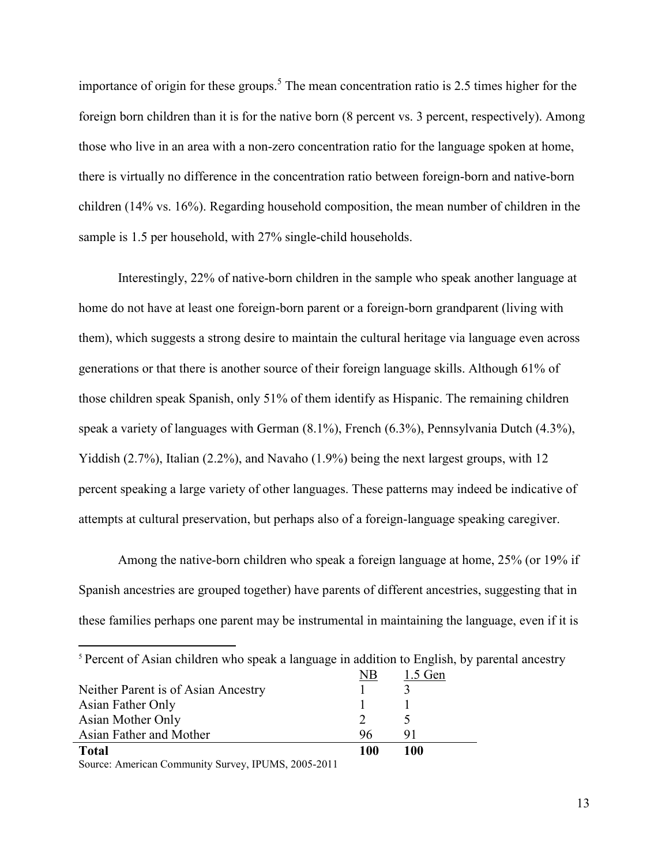importance of origin for these groups.<sup>5</sup> The mean concentration ratio is 2.5 times higher for the foreign born children than it is for the native born (8 percent vs. 3 percent, respectively). Among those who live in an area with a non-zero concentration ratio for the language spoken at home, there is virtually no difference in the concentration ratio between foreign-born and native-born children (14% vs. 16%). Regarding household composition, the mean number of children in the sample is 1.5 per household, with 27% single-child households.

Interestingly, 22% of native-born children in the sample who speak another language at home do not have at least one foreign-born parent or a foreign-born grandparent (living with them), which suggests a strong desire to maintain the cultural heritage via language even across generations or that there is another source of their foreign language skills. Although 61% of those children speak Spanish, only 51% of them identify as Hispanic. The remaining children speak a variety of languages with German (8.1%), French (6.3%), Pennsylvania Dutch (4.3%), Yiddish (2.7%), Italian (2.2%), and Navaho (1.9%) being the next largest groups, with 12 percent speaking a large variety of other languages. These patterns may indeed be indicative of attempts at cultural preservation, but perhaps also of a foreign-language speaking caregiver.

Among the native-born children who speak a foreign language at home, 25% (or 19% if Spanish ancestries are grouped together) have parents of different ancestries, suggesting that in these families perhaps one parent may be instrumental in maintaining the language, even if it is

| <sup>5</sup> Percent of Asian children who speak a language in addition to English, by parental ancestry |                |           |
|----------------------------------------------------------------------------------------------------------|----------------|-----------|
|                                                                                                          | N <sub>B</sub> | $1.5$ Gen |
| Neither Parent is of Asian Ancestry                                                                      |                |           |
| Asian Father Only                                                                                        |                |           |
| Asian Mother Only                                                                                        |                |           |
| Asian Father and Mother                                                                                  | 96             | 91        |
| <b>Total</b>                                                                                             | 100            | 100       |

Source: American Community Survey, IPUMS, 2005-2011

 $\overline{a}$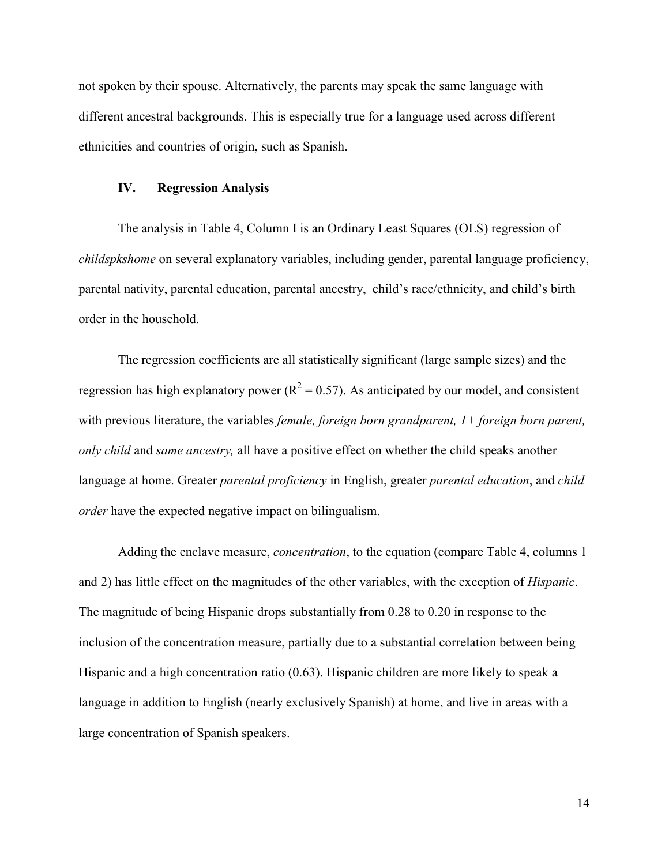not spoken by their spouse. Alternatively, the parents may speak the same language with different ancestral backgrounds. This is especially true for a language used across different ethnicities and countries of origin, such as Spanish.

#### **IV. Regression Analysis**

The analysis in Table 4, Column I is an Ordinary Least Squares (OLS) regression of *childspkshome* on several explanatory variables, including gender, parental language proficiency, parental nativity, parental education, parental ancestry, child's race/ethnicity, and child's birth order in the household.

The regression coefficients are all statistically significant (large sample sizes) and the regression has high explanatory power ( $R^2 = 0.57$ ). As anticipated by our model, and consistent with previous literature, the variables *female, foreign born grandparent, 1+ foreign born parent, only child* and *same ancestry,* all have a positive effect on whether the child speaks another language at home. Greater *parental proficiency* in English, greater *parental education*, and *child order* have the expected negative impact on bilingualism.

Adding the enclave measure, *concentration*, to the equation (compare Table 4, columns 1 and 2) has little effect on the magnitudes of the other variables, with the exception of *Hispanic*. The magnitude of being Hispanic drops substantially from 0.28 to 0.20 in response to the inclusion of the concentration measure, partially due to a substantial correlation between being Hispanic and a high concentration ratio (0.63). Hispanic children are more likely to speak a language in addition to English (nearly exclusively Spanish) at home, and live in areas with a large concentration of Spanish speakers.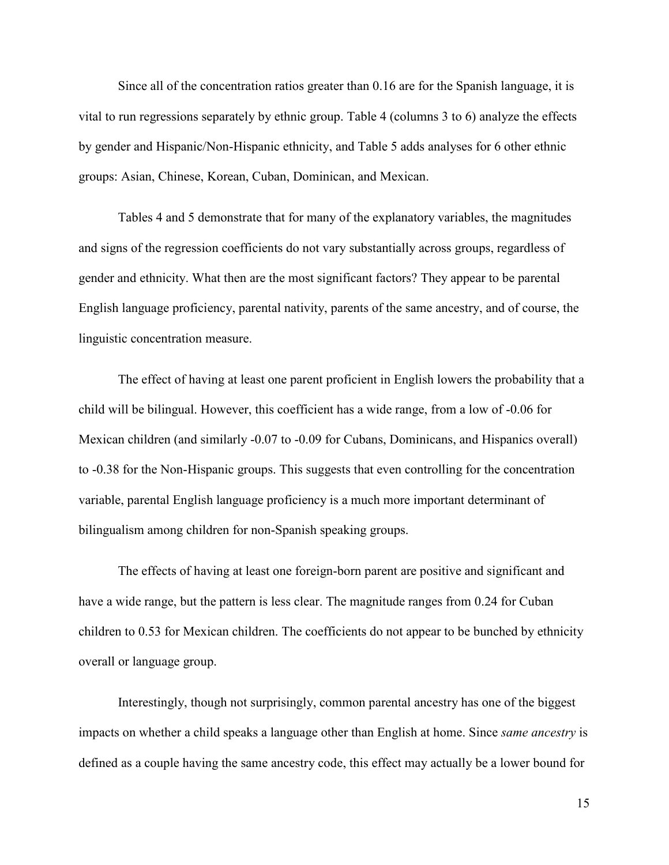Since all of the concentration ratios greater than 0.16 are for the Spanish language, it is vital to run regressions separately by ethnic group. Table 4 (columns 3 to 6) analyze the effects by gender and Hispanic/Non-Hispanic ethnicity, and Table 5 adds analyses for 6 other ethnic groups: Asian, Chinese, Korean, Cuban, Dominican, and Mexican.

Tables 4 and 5 demonstrate that for many of the explanatory variables, the magnitudes and signs of the regression coefficients do not vary substantially across groups, regardless of gender and ethnicity. What then are the most significant factors? They appear to be parental English language proficiency, parental nativity, parents of the same ancestry, and of course, the linguistic concentration measure.

The effect of having at least one parent proficient in English lowers the probability that a child will be bilingual. However, this coefficient has a wide range, from a low of -0.06 for Mexican children (and similarly -0.07 to -0.09 for Cubans, Dominicans, and Hispanics overall) to -0.38 for the Non-Hispanic groups. This suggests that even controlling for the concentration variable, parental English language proficiency is a much more important determinant of bilingualism among children for non-Spanish speaking groups.

The effects of having at least one foreign-born parent are positive and significant and have a wide range, but the pattern is less clear. The magnitude ranges from 0.24 for Cuban children to 0.53 for Mexican children. The coefficients do not appear to be bunched by ethnicity overall or language group.

Interestingly, though not surprisingly, common parental ancestry has one of the biggest impacts on whether a child speaks a language other than English at home. Since *same ancestry* is defined as a couple having the same ancestry code, this effect may actually be a lower bound for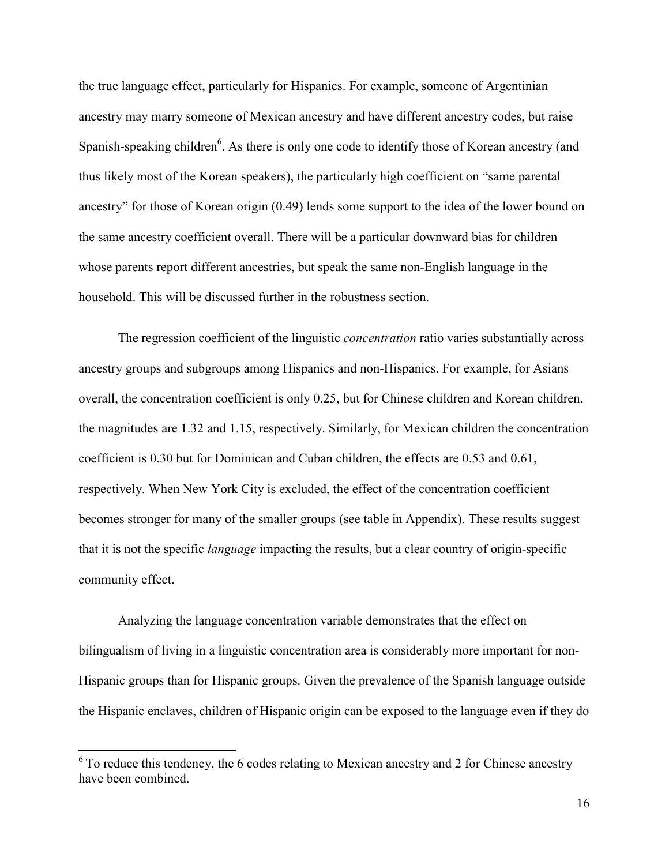the true language effect, particularly for Hispanics. For example, someone of Argentinian ancestry may marry someone of Mexican ancestry and have different ancestry codes, but raise Spanish-speaking children<sup>6</sup>. As there is only one code to identify those of Korean ancestry (and thus likely most of the Korean speakers), the particularly high coefficient on "same parental ancestry" for those of Korean origin (0.49) lends some support to the idea of the lower bound on the same ancestry coefficient overall. There will be a particular downward bias for children whose parents report different ancestries, but speak the same non-English language in the household. This will be discussed further in the robustness section.

The regression coefficient of the linguistic *concentration* ratio varies substantially across ancestry groups and subgroups among Hispanics and non-Hispanics. For example, for Asians overall, the concentration coefficient is only 0.25, but for Chinese children and Korean children, the magnitudes are 1.32 and 1.15, respectively. Similarly, for Mexican children the concentration coefficient is 0.30 but for Dominican and Cuban children, the effects are 0.53 and 0.61, respectively. When New York City is excluded, the effect of the concentration coefficient becomes stronger for many of the smaller groups (see table in Appendix). These results suggest that it is not the specific *language* impacting the results, but a clear country of origin-specific community effect.

Analyzing the language concentration variable demonstrates that the effect on bilingualism of living in a linguistic concentration area is considerably more important for non-Hispanic groups than for Hispanic groups. Given the prevalence of the Spanish language outside the Hispanic enclaves, children of Hispanic origin can be exposed to the language even if they do

 $\overline{a}$ 

 $6$  To reduce this tendency, the 6 codes relating to Mexican ancestry and 2 for Chinese ancestry have been combined.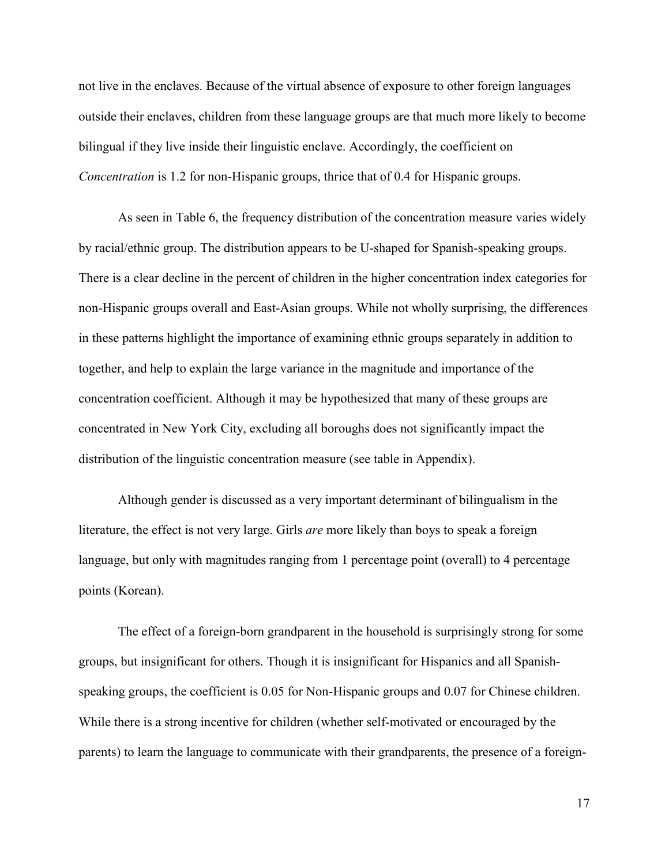not live in the enclaves. Because of the virtual absence of exposure to other foreign languages outside their enclaves, children from these language groups are that much more likely to become bilingual if they live inside their linguistic enclave. Accordingly, the coefficient on *Concentration* is 1.2 for non-Hispanic groups, thrice that of 0.4 for Hispanic groups.

As seen in Table 6, the frequency distribution of the concentration measure varies widely by racial/ethnic group. The distribution appears to be U-shaped for Spanish-speaking groups. There is a clear decline in the percent of children in the higher concentration index categories for non-Hispanic groups overall and East-Asian groups. While not wholly surprising, the differences in these patterns highlight the importance of examining ethnic groups separately in addition to together, and help to explain the large variance in the magnitude and importance of the concentration coefficient. Although it may be hypothesized that many of these groups are concentrated in New York City, excluding all boroughs does not significantly impact the distribution of the linguistic concentration measure (see table in Appendix).

Although gender is discussed as a very important determinant of bilingualism in the literature, the effect is not very large. Girls *are* more likely than boys to speak a foreign language, but only with magnitudes ranging from 1 percentage point (overall) to 4 percentage points (Korean).

The effect of a foreign-born grandparent in the household is surprisingly strong for some groups, but insignificant for others. Though it is insignificant for Hispanics and all Spanishspeaking groups, the coefficient is 0.05 for Non-Hispanic groups and 0.07 for Chinese children. While there is a strong incentive for children (whether self-motivated or encouraged by the parents) to learn the language to communicate with their grandparents, the presence of a foreign-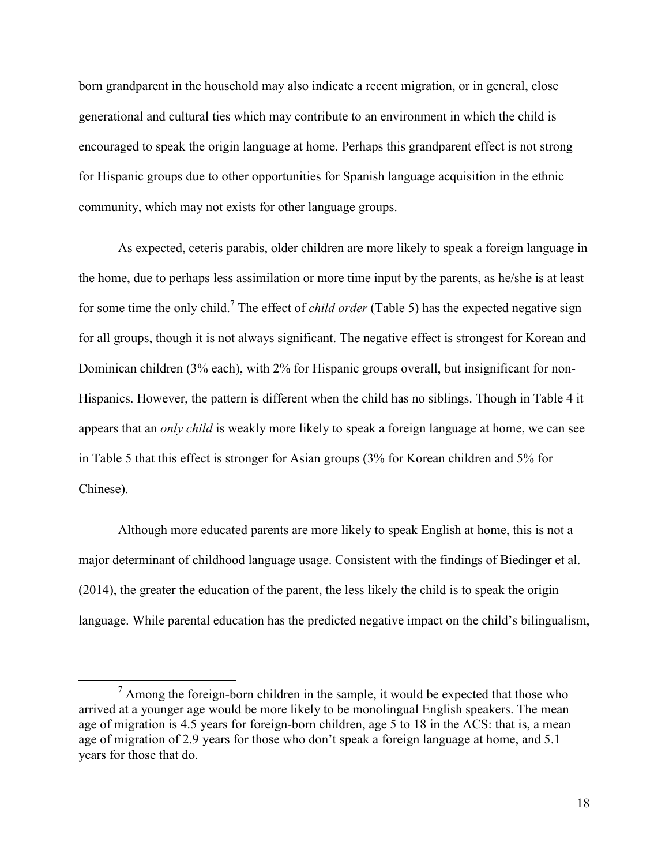born grandparent in the household may also indicate a recent migration, or in general, close generational and cultural ties which may contribute to an environment in which the child is encouraged to speak the origin language at home. Perhaps this grandparent effect is not strong for Hispanic groups due to other opportunities for Spanish language acquisition in the ethnic community, which may not exists for other language groups.

As expected, ceteris parabis, older children are more likely to speak a foreign language in the home, due to perhaps less assimilation or more time input by the parents, as he/she is at least for some time the only child.<sup>7</sup> The effect of *child order* (Table 5) has the expected negative sign for all groups, though it is not always significant. The negative effect is strongest for Korean and Dominican children (3% each), with 2% for Hispanic groups overall, but insignificant for non-Hispanics. However, the pattern is different when the child has no siblings. Though in Table 4 it appears that an *only child* is weakly more likely to speak a foreign language at home, we can see in Table 5 that this effect is stronger for Asian groups (3% for Korean children and 5% for Chinese).

Although more educated parents are more likely to speak English at home, this is not a major determinant of childhood language usage. Consistent with the findings of Biedinger et al. (2014), the greater the education of the parent, the less likely the child is to speak the origin language. While parental education has the predicted negative impact on the child's bilingualism,

l

 $<sup>7</sup>$  Among the foreign-born children in the sample, it would be expected that those who</sup> arrived at a younger age would be more likely to be monolingual English speakers. The mean age of migration is 4.5 years for foreign-born children, age 5 to 18 in the ACS: that is, a mean age of migration of 2.9 years for those who don't speak a foreign language at home, and 5.1 years for those that do.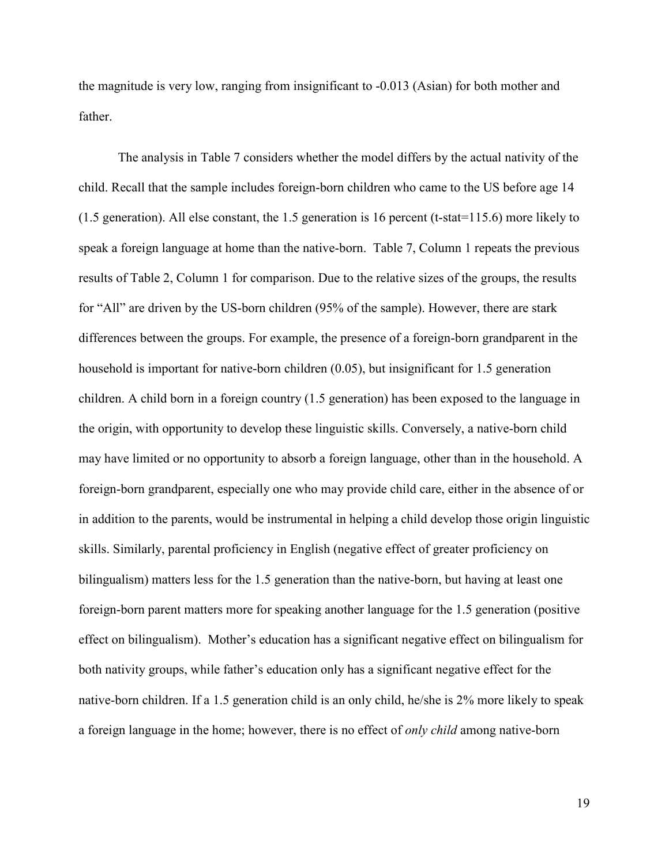the magnitude is very low, ranging from insignificant to -0.013 (Asian) for both mother and father.

The analysis in Table 7 considers whether the model differs by the actual nativity of the child. Recall that the sample includes foreign-born children who came to the US before age 14 (1.5 generation). All else constant, the 1.5 generation is 16 percent (t-stat=115.6) more likely to speak a foreign language at home than the native-born. Table 7, Column 1 repeats the previous results of Table 2, Column 1 for comparison. Due to the relative sizes of the groups, the results for "All" are driven by the US-born children (95% of the sample). However, there are stark differences between the groups. For example, the presence of a foreign-born grandparent in the household is important for native-born children (0.05), but insignificant for 1.5 generation children. A child born in a foreign country (1.5 generation) has been exposed to the language in the origin, with opportunity to develop these linguistic skills. Conversely, a native-born child may have limited or no opportunity to absorb a foreign language, other than in the household. A foreign-born grandparent, especially one who may provide child care, either in the absence of or in addition to the parents, would be instrumental in helping a child develop those origin linguistic skills. Similarly, parental proficiency in English (negative effect of greater proficiency on bilingualism) matters less for the 1.5 generation than the native-born, but having at least one foreign-born parent matters more for speaking another language for the 1.5 generation (positive effect on bilingualism). Mother's education has a significant negative effect on bilingualism for both nativity groups, while father's education only has a significant negative effect for the native-born children. If a 1.5 generation child is an only child, he/she is 2% more likely to speak a foreign language in the home; however, there is no effect of *only child* among native-born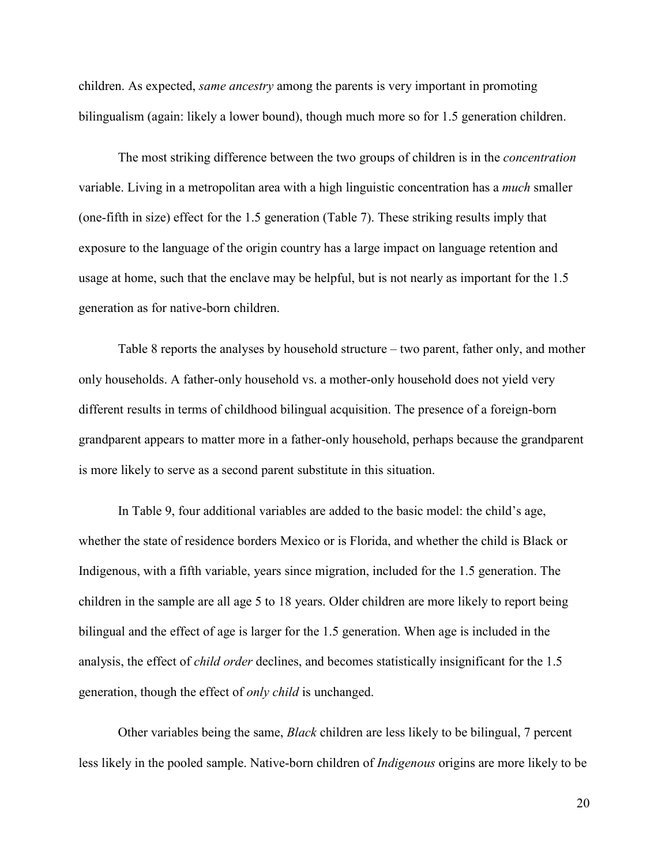children. As expected, *same ancestry* among the parents is very important in promoting bilingualism (again: likely a lower bound), though much more so for 1.5 generation children.

The most striking difference between the two groups of children is in the *concentration*  variable. Living in a metropolitan area with a high linguistic concentration has a *much* smaller (one-fifth in size) effect for the 1.5 generation (Table 7). These striking results imply that exposure to the language of the origin country has a large impact on language retention and usage at home, such that the enclave may be helpful, but is not nearly as important for the 1.5 generation as for native-born children.

Table 8 reports the analyses by household structure – two parent, father only, and mother only households. A father-only household vs. a mother-only household does not yield very different results in terms of childhood bilingual acquisition. The presence of a foreign-born grandparent appears to matter more in a father-only household, perhaps because the grandparent is more likely to serve as a second parent substitute in this situation.

In Table 9, four additional variables are added to the basic model: the child's age, whether the state of residence borders Mexico or is Florida, and whether the child is Black or Indigenous, with a fifth variable, years since migration, included for the 1.5 generation. The children in the sample are all age 5 to 18 years. Older children are more likely to report being bilingual and the effect of age is larger for the 1.5 generation. When age is included in the analysis, the effect of *child order* declines, and becomes statistically insignificant for the 1.5 generation, though the effect of *only child* is unchanged.

Other variables being the same, *Black* children are less likely to be bilingual, 7 percent less likely in the pooled sample. Native-born children of *Indigenous* origins are more likely to be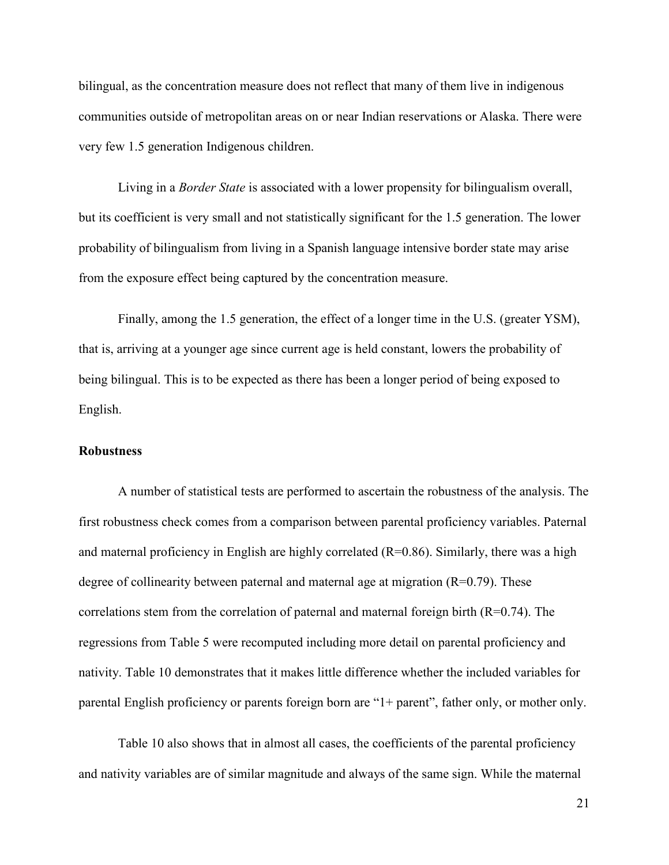bilingual, as the concentration measure does not reflect that many of them live in indigenous communities outside of metropolitan areas on or near Indian reservations or Alaska. There were very few 1.5 generation Indigenous children.

Living in a *Border State* is associated with a lower propensity for bilingualism overall, but its coefficient is very small and not statistically significant for the 1.5 generation. The lower probability of bilingualism from living in a Spanish language intensive border state may arise from the exposure effect being captured by the concentration measure.

Finally, among the 1.5 generation, the effect of a longer time in the U.S. (greater YSM), that is, arriving at a younger age since current age is held constant, lowers the probability of being bilingual. This is to be expected as there has been a longer period of being exposed to English.

#### **Robustness**

A number of statistical tests are performed to ascertain the robustness of the analysis. The first robustness check comes from a comparison between parental proficiency variables. Paternal and maternal proficiency in English are highly correlated  $(R=0.86)$ . Similarly, there was a high degree of collinearity between paternal and maternal age at migration  $(R=0.79)$ . These correlations stem from the correlation of paternal and maternal foreign birth  $(R=0.74)$ . The regressions from Table 5 were recomputed including more detail on parental proficiency and nativity. Table 10 demonstrates that it makes little difference whether the included variables for parental English proficiency or parents foreign born are "1+ parent", father only, or mother only.

Table 10 also shows that in almost all cases, the coefficients of the parental proficiency and nativity variables are of similar magnitude and always of the same sign. While the maternal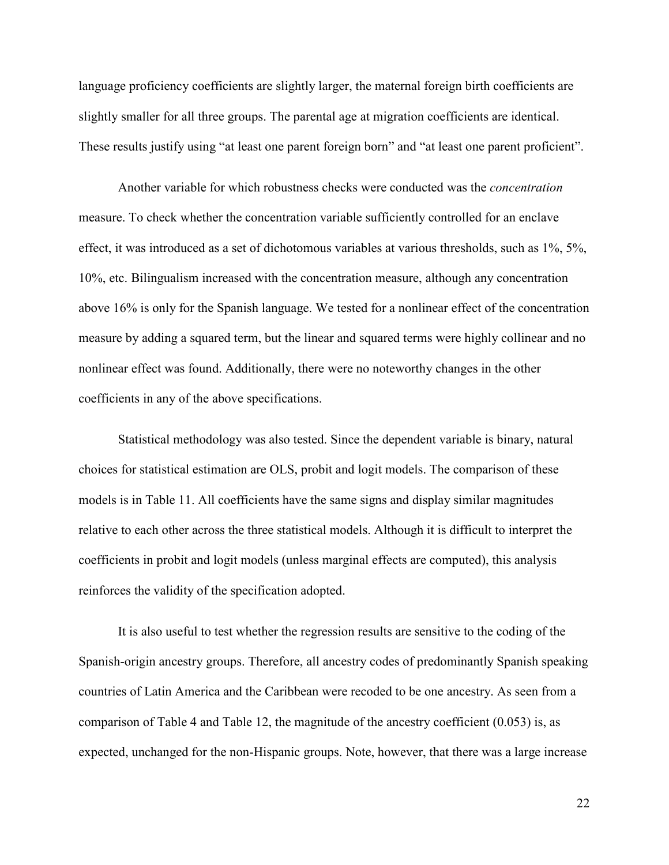language proficiency coefficients are slightly larger, the maternal foreign birth coefficients are slightly smaller for all three groups. The parental age at migration coefficients are identical. These results justify using "at least one parent foreign born" and "at least one parent proficient".

Another variable for which robustness checks were conducted was the *concentration* measure. To check whether the concentration variable sufficiently controlled for an enclave effect, it was introduced as a set of dichotomous variables at various thresholds, such as 1%, 5%, 10%, etc. Bilingualism increased with the concentration measure, although any concentration above 16% is only for the Spanish language. We tested for a nonlinear effect of the concentration measure by adding a squared term, but the linear and squared terms were highly collinear and no nonlinear effect was found. Additionally, there were no noteworthy changes in the other coefficients in any of the above specifications.

Statistical methodology was also tested. Since the dependent variable is binary, natural choices for statistical estimation are OLS, probit and logit models. The comparison of these models is in Table 11. All coefficients have the same signs and display similar magnitudes relative to each other across the three statistical models. Although it is difficult to interpret the coefficients in probit and logit models (unless marginal effects are computed), this analysis reinforces the validity of the specification adopted.

 It is also useful to test whether the regression results are sensitive to the coding of the Spanish-origin ancestry groups. Therefore, all ancestry codes of predominantly Spanish speaking countries of Latin America and the Caribbean were recoded to be one ancestry. As seen from a comparison of Table 4 and Table 12, the magnitude of the ancestry coefficient (0.053) is, as expected, unchanged for the non-Hispanic groups. Note, however, that there was a large increase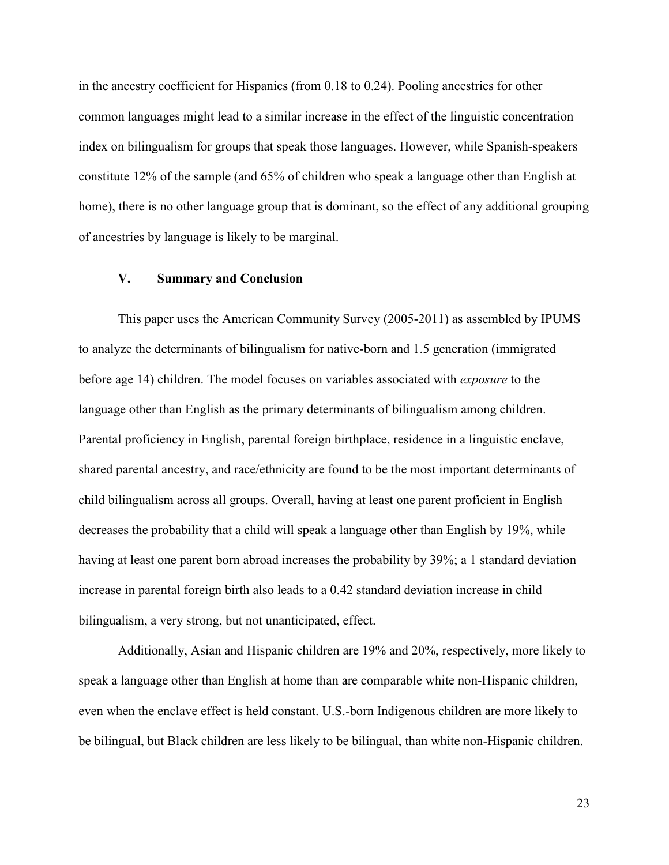in the ancestry coefficient for Hispanics (from 0.18 to 0.24). Pooling ancestries for other common languages might lead to a similar increase in the effect of the linguistic concentration index on bilingualism for groups that speak those languages. However, while Spanish-speakers constitute 12% of the sample (and 65% of children who speak a language other than English at home), there is no other language group that is dominant, so the effect of any additional grouping of ancestries by language is likely to be marginal.

#### **V. Summary and Conclusion**

This paper uses the American Community Survey (2005-2011) as assembled by IPUMS to analyze the determinants of bilingualism for native-born and 1.5 generation (immigrated before age 14) children. The model focuses on variables associated with *exposure* to the language other than English as the primary determinants of bilingualism among children. Parental proficiency in English, parental foreign birthplace, residence in a linguistic enclave, shared parental ancestry, and race/ethnicity are found to be the most important determinants of child bilingualism across all groups. Overall, having at least one parent proficient in English decreases the probability that a child will speak a language other than English by 19%, while having at least one parent born abroad increases the probability by 39%; a 1 standard deviation increase in parental foreign birth also leads to a 0.42 standard deviation increase in child bilingualism, a very strong, but not unanticipated, effect.

Additionally, Asian and Hispanic children are 19% and 20%, respectively, more likely to speak a language other than English at home than are comparable white non-Hispanic children, even when the enclave effect is held constant. U.S.-born Indigenous children are more likely to be bilingual, but Black children are less likely to be bilingual, than white non-Hispanic children.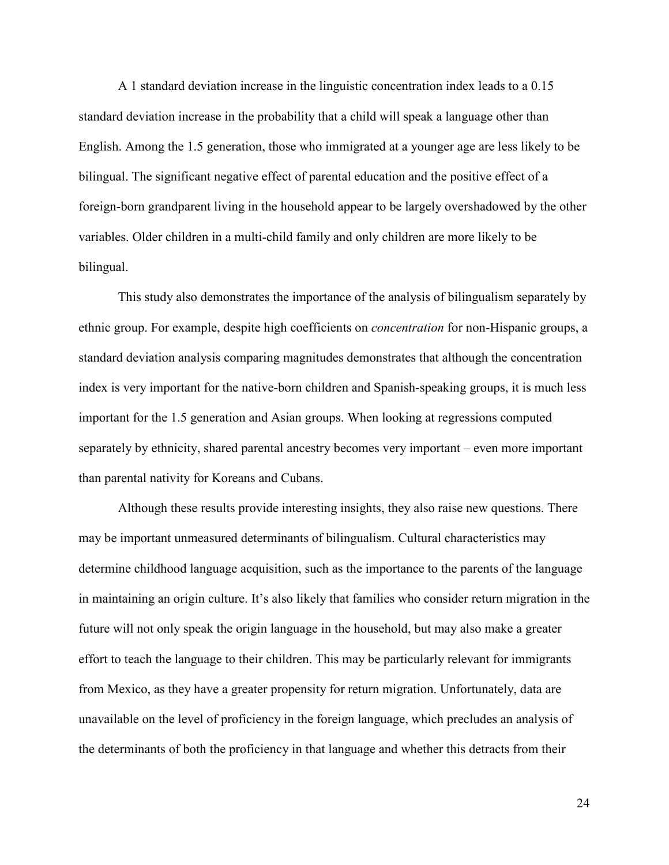A 1 standard deviation increase in the linguistic concentration index leads to a 0.15 standard deviation increase in the probability that a child will speak a language other than English. Among the 1.5 generation, those who immigrated at a younger age are less likely to be bilingual. The significant negative effect of parental education and the positive effect of a foreign-born grandparent living in the household appear to be largely overshadowed by the other variables. Older children in a multi-child family and only children are more likely to be bilingual.

 This study also demonstrates the importance of the analysis of bilingualism separately by ethnic group. For example, despite high coefficients on *concentration* for non-Hispanic groups, a standard deviation analysis comparing magnitudes demonstrates that although the concentration index is very important for the native-born children and Spanish-speaking groups, it is much less important for the 1.5 generation and Asian groups. When looking at regressions computed separately by ethnicity, shared parental ancestry becomes very important – even more important than parental nativity for Koreans and Cubans.

 Although these results provide interesting insights, they also raise new questions. There may be important unmeasured determinants of bilingualism. Cultural characteristics may determine childhood language acquisition, such as the importance to the parents of the language in maintaining an origin culture. It's also likely that families who consider return migration in the future will not only speak the origin language in the household, but may also make a greater effort to teach the language to their children. This may be particularly relevant for immigrants from Mexico, as they have a greater propensity for return migration. Unfortunately, data are unavailable on the level of proficiency in the foreign language, which precludes an analysis of the determinants of both the proficiency in that language and whether this detracts from their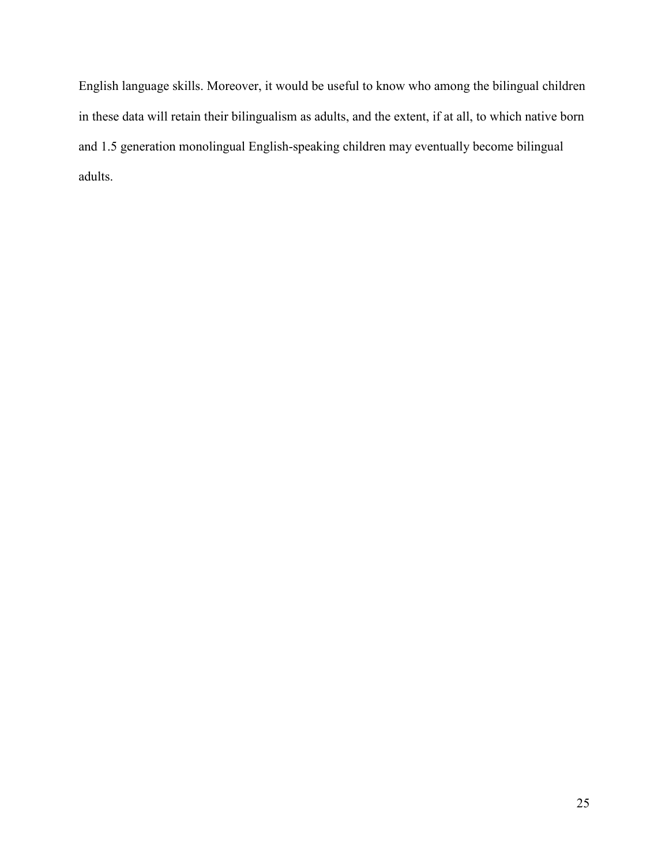English language skills. Moreover, it would be useful to know who among the bilingual children in these data will retain their bilingualism as adults, and the extent, if at all, to which native born and 1.5 generation monolingual English-speaking children may eventually become bilingual adults.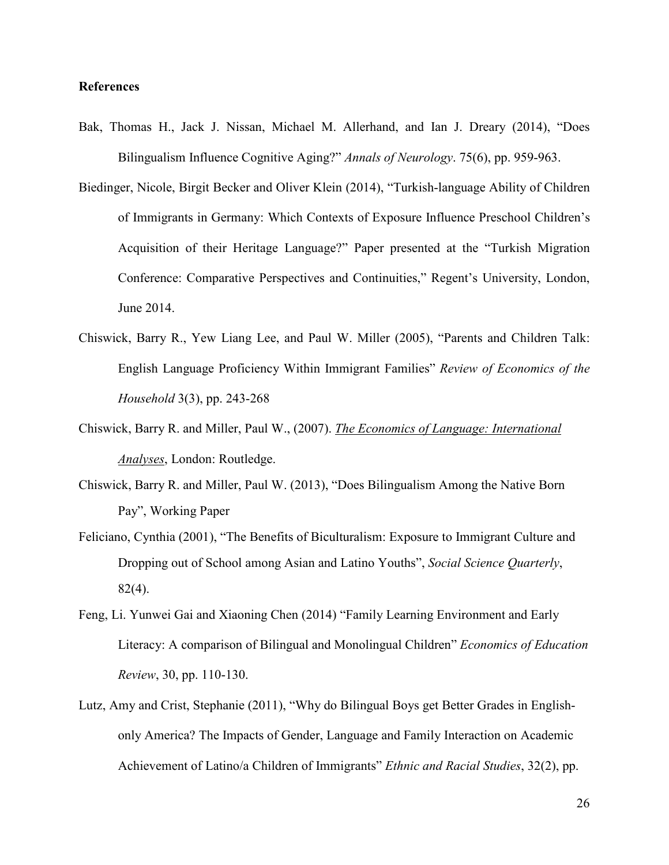#### **References**

- Bak, Thomas H., Jack J. Nissan, Michael M. Allerhand, and Ian J. Dreary (2014), "Does Bilingualism Influence Cognitive Aging?" *Annals of Neurology*. 75(6), pp. 959-963.
- Biedinger, Nicole, Birgit Becker and Oliver Klein (2014), "Turkish-language Ability of Children of Immigrants in Germany: Which Contexts of Exposure Influence Preschool Children's Acquisition of their Heritage Language?" Paper presented at the "Turkish Migration Conference: Comparative Perspectives and Continuities," Regent's University, London, June 2014.
- Chiswick, Barry R., Yew Liang Lee, and Paul W. Miller (2005), "Parents and Children Talk: English Language Proficiency Within Immigrant Families" *Review of Economics of the Household* 3(3), pp. 243-268
- Chiswick, Barry R. and Miller, Paul W., (2007). *The Economics of Language: International Analyses*, London: Routledge.
- Chiswick, Barry R. and Miller, Paul W. (2013), "Does Bilingualism Among the Native Born Pay", Working Paper
- Feliciano, Cynthia (2001), "The Benefits of Biculturalism: Exposure to Immigrant Culture and Dropping out of School among Asian and Latino Youths", *Social Science Quarterly*, 82(4).
- Feng, Li. Yunwei Gai and Xiaoning Chen (2014) "Family Learning Environment and Early Literacy: A comparison of Bilingual and Monolingual Children" *Economics of Education Review*, 30, pp. 110-130.
- Lutz, Amy and Crist, Stephanie (2011), "Why do Bilingual Boys get Better Grades in Englishonly America? The Impacts of Gender, Language and Family Interaction on Academic Achievement of Latino/a Children of Immigrants" *Ethnic and Racial Studies*, 32(2), pp.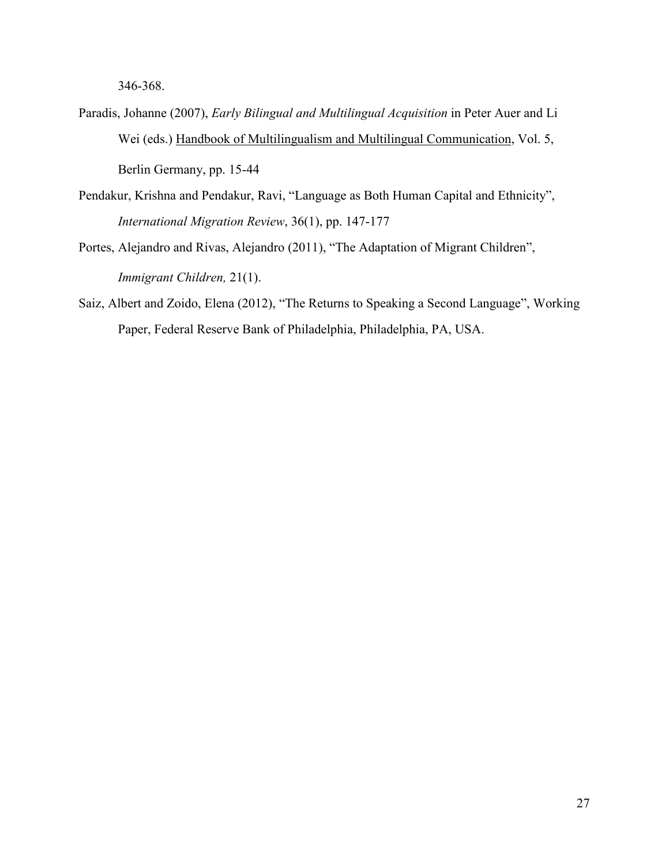346-368.

- Paradis, Johanne (2007), *Early Bilingual and Multilingual Acquisition* in Peter Auer and Li Wei (eds.) Handbook of Multilingualism and Multilingual Communication, Vol. 5, Berlin Germany, pp. 15-44
- Pendakur, Krishna and Pendakur, Ravi, "Language as Both Human Capital and Ethnicity", *International Migration Review*, 36(1), pp. 147-177
- Portes, Alejandro and Rivas, Alejandro (2011), "The Adaptation of Migrant Children", *Immigrant Children,* 21(1).
- Saiz, Albert and Zoido, Elena (2012), "The Returns to Speaking a Second Language", Working Paper, Federal Reserve Bank of Philadelphia, Philadelphia, PA, USA.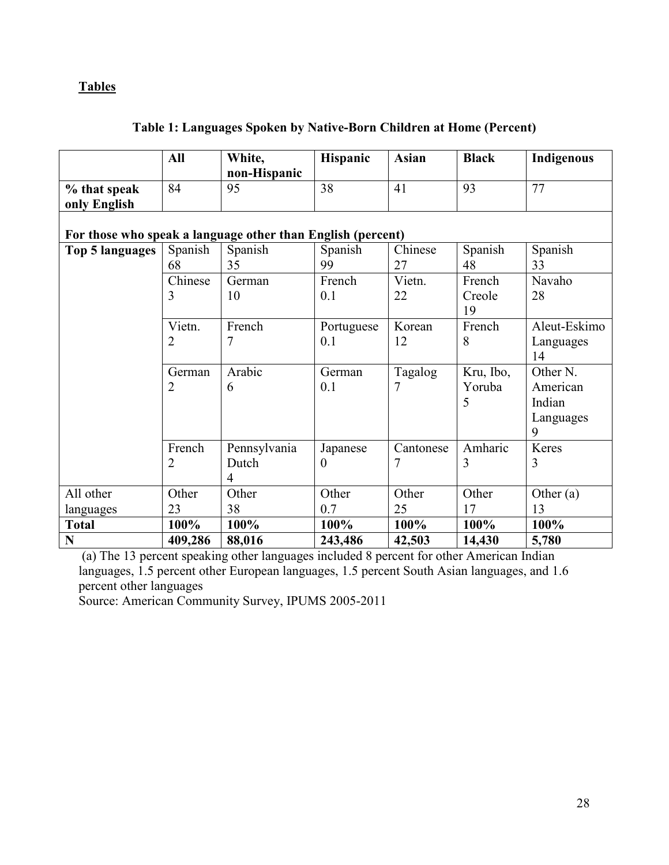### **Tables**

|  |  | Table 1: Languages Spoken by Native-Born Children at Home (Percent) |
|--|--|---------------------------------------------------------------------|
|  |  |                                                                     |

|                                                             | All           | White,<br>non-Hispanic                  | Hispanic             | <b>Asian</b>   | <b>Black</b>             | Indigenous                                       |
|-------------------------------------------------------------|---------------|-----------------------------------------|----------------------|----------------|--------------------------|--------------------------------------------------|
| % that speak<br>only English                                | 84            | 95                                      | 38                   | 41             | 93                       | 77                                               |
| For those who speak a language other than English (percent) |               |                                         |                      |                |                          |                                                  |
| Top 5 languages                                             | Spanish<br>68 | Spanish<br>35                           | Spanish<br>99        | Chinese<br>27  | Spanish<br>48            | Spanish<br>33                                    |
|                                                             | Chinese<br>3  | German<br>10                            | French<br>0.1        | Vietn.<br>22   | French<br>Creole<br>19   | Navaho<br>28                                     |
|                                                             | Vietn.<br>2   | French<br>7                             | Portuguese<br>0.1    | Korean<br>12   | French<br>8              | Aleut-Eskimo<br>Languages<br>14                  |
|                                                             | German<br>2   | Arabic<br>6                             | German<br>0.1        | Tagalog<br>7   | Kru, Ibo,<br>Yoruba<br>5 | Other N.<br>American<br>Indian<br>Languages<br>9 |
|                                                             | French<br>2   | Pennsylvania<br>Dutch<br>$\overline{4}$ | Japanese<br>$\Omega$ | Cantonese<br>7 | Amharic<br>3             | Keres<br>3                                       |
| All other                                                   | Other         | Other                                   | Other                | Other          | Other                    | Other $(a)$                                      |
| languages                                                   | 23            | 38                                      | 0.7                  | 25             | 17                       | 13                                               |
| <b>Total</b>                                                | 100%          | 100%                                    | 100%                 | 100%           | 100%                     | 100%                                             |
| N                                                           | 409,286       | 88,016                                  | 243,486              | 42,503         | 14,430                   | 5,780                                            |

 (a) The 13 percent speaking other languages included 8 percent for other American Indian languages, 1.5 percent other European languages, 1.5 percent South Asian languages, and 1.6 percent other languages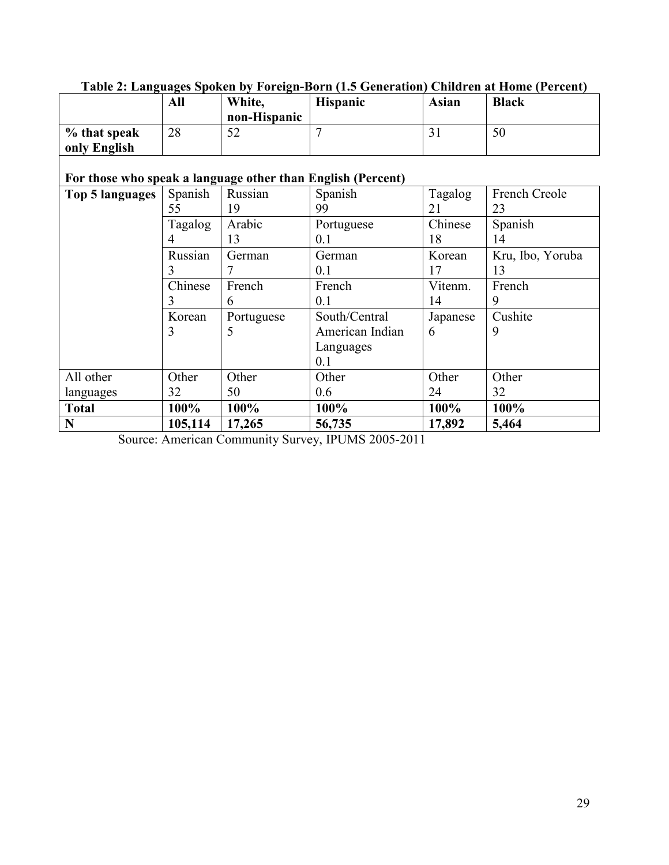|                                                             | All     | White,<br>non-Hispanic | <b>Hispanic</b> | <b>Asian</b> | <b>Black</b>     |
|-------------------------------------------------------------|---------|------------------------|-----------------|--------------|------------------|
| % that speak<br>only English                                | 28      | 52                     | $\overline{7}$  | 31           | 50               |
| For those who speak a language other than English (Percent) |         |                        |                 |              |                  |
| Top 5 languages                                             | Spanish | Russian                | Spanish         | Tagalog      | French Creole    |
|                                                             | 55      | 19                     | 99              | 21           | 23               |
|                                                             | Tagalog | Arabic                 | Portuguese      | Chinese      | Spanish          |
|                                                             | 4       | 13                     | 0.1             | 18           | 14               |
|                                                             | Russian | German                 | German          | Korean       | Kru, Ibo, Yoruba |
|                                                             | 3       |                        | 0.1             | 17           | 13               |
|                                                             | Chinese | French                 | French          | Vitenm.      | French           |
|                                                             | 3       | 6                      | 0.1             | 14           | 9                |
|                                                             | Korean  | Portuguese             | South/Central   | Japanese     | Cushite          |
|                                                             | 3       | 5                      | American Indian | 6            | 9                |
|                                                             |         |                        | Languages       |              |                  |
|                                                             |         |                        | 0.1             |              |                  |
| All other                                                   | Other   | Other                  | Other           | Other        | Other            |
| languages                                                   | 32      | 50                     | 0.6             | 24           | 32               |
| <b>Total</b>                                                | 100%    | 100%                   | 100%            | 100%         | 100%             |
| N                                                           | 105,114 | 17,265                 | 56,735          | 17,892       | 5,464            |

# **Table 2: Languages Spoken by Foreign-Born (1.5 Generation) Children at Home (Percent)**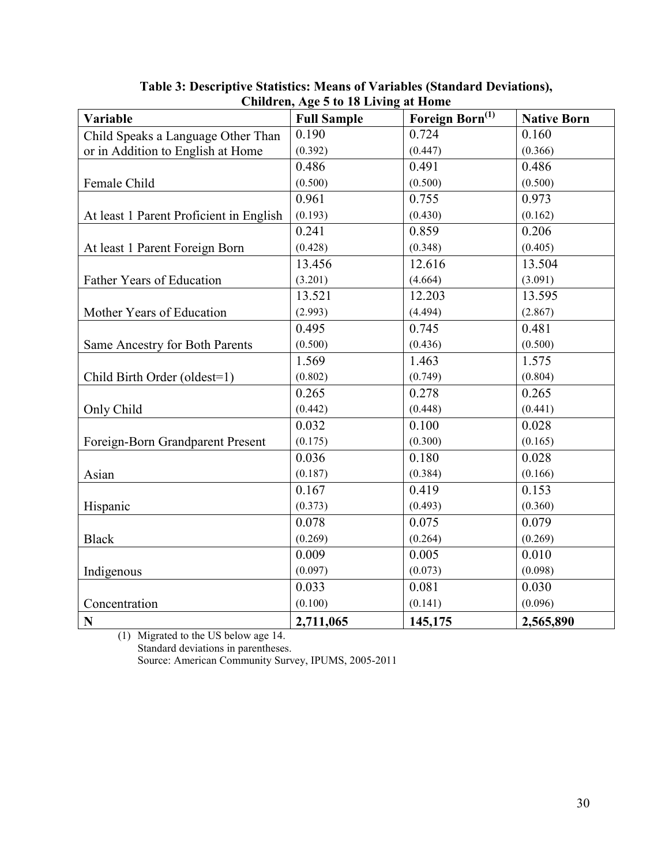| Variable                                | <b>Full Sample</b> | Foreign Born <sup>(1)</sup> | <b>Native Born</b> |
|-----------------------------------------|--------------------|-----------------------------|--------------------|
| Child Speaks a Language Other Than      | 0.190              | 0.724                       | 0.160              |
| or in Addition to English at Home       | (0.392)            | (0.447)                     | (0.366)            |
|                                         | 0.486              | 0.491                       | 0.486              |
| Female Child                            | (0.500)            | (0.500)                     | (0.500)            |
|                                         | 0.961              | 0.755                       | 0.973              |
| At least 1 Parent Proficient in English | (0.193)            | (0.430)                     | (0.162)            |
|                                         | 0.241              | 0.859                       | 0.206              |
| At least 1 Parent Foreign Born          | (0.428)            | (0.348)                     | (0.405)            |
|                                         | 13.456             | 12.616                      | 13.504             |
| Father Years of Education               | (3.201)            | (4.664)                     | (3.091)            |
|                                         | 13.521             | 12.203                      | 13.595             |
| Mother Years of Education               | (2.993)            | (4.494)                     | (2.867)            |
|                                         | 0.495              | 0.745                       | 0.481              |
| Same Ancestry for Both Parents          | (0.500)            | (0.436)                     | (0.500)            |
|                                         | 1.569              | 1.463                       | 1.575              |
| Child Birth Order (oldest=1)            | (0.802)            | (0.749)                     | (0.804)            |
|                                         | 0.265              | 0.278                       | 0.265              |
| Only Child                              | (0.442)            | (0.448)                     | (0.441)            |
|                                         | 0.032              | 0.100                       | 0.028              |
| Foreign-Born Grandparent Present        | (0.175)            | (0.300)                     | (0.165)            |
|                                         | 0.036              | 0.180                       | 0.028              |
| Asian                                   | (0.187)            | (0.384)                     | (0.166)            |
|                                         | 0.167              | 0.419                       | 0.153              |
| Hispanic                                | (0.373)            | (0.493)                     | (0.360)            |
|                                         | 0.078              | 0.075                       | 0.079              |
| <b>Black</b>                            | (0.269)            | (0.264)                     | (0.269)            |
|                                         | 0.009              | 0.005                       | 0.010              |
| Indigenous                              | (0.097)            | (0.073)                     | (0.098)            |
|                                         | 0.033              | 0.081                       | 0.030              |
| Concentration                           | (0.100)            | (0.141)                     | (0.096)            |
| $\mathbf N$                             | 2,711,065          | 145,175                     | 2,565,890          |

**Table 3: Descriptive Statistics: Means of Variables (Standard Deviations), Children, Age 5 to 18 Living at Home** 

(1) Migrated to the US below age 14. Standard deviations in parentheses. Source: American Community Survey, IPUMS, 2005-2011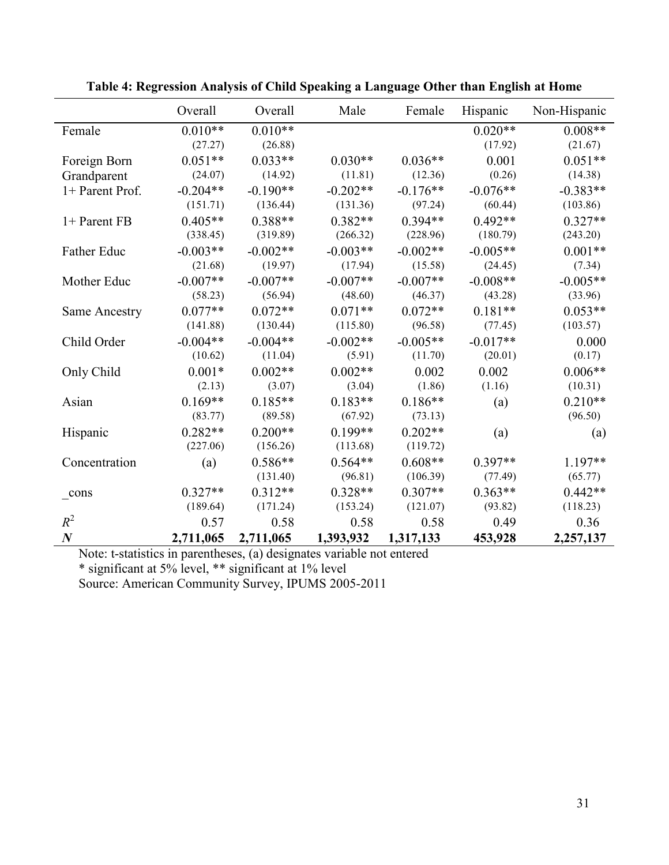|                  | Overall    | Overall    | Male       | Female     | Hispanic   | Non-Hispanic |
|------------------|------------|------------|------------|------------|------------|--------------|
| Female           | $0.010**$  | $0.010**$  |            |            | $0.020**$  | $0.008**$    |
|                  | (27.27)    | (26.88)    |            |            | (17.92)    | (21.67)      |
| Foreign Born     | $0.051**$  | $0.033**$  | $0.030**$  | $0.036**$  | 0.001      | $0.051**$    |
| Grandparent      | (24.07)    | (14.92)    | (11.81)    | (12.36)    | (0.26)     | (14.38)      |
| 1+ Parent Prof.  | $-0.204**$ | $-0.190**$ | $-0.202**$ | $-0.176**$ | $-0.076**$ | $-0.383**$   |
|                  | (151.71)   | (136.44)   | (131.36)   | (97.24)    | (60.44)    | (103.86)     |
| 1+ Parent FB     | $0.405**$  | $0.388**$  | $0.382**$  | $0.394**$  | $0.492**$  | $0.327**$    |
|                  | (338.45)   | (319.89)   | (266.32)   | (228.96)   | (180.79)   | (243.20)     |
| Father Educ      | $-0.003**$ | $-0.002**$ | $-0.003**$ | $-0.002**$ | $-0.005**$ | $0.001**$    |
|                  | (21.68)    | (19.97)    | (17.94)    | (15.58)    | (24.45)    | (7.34)       |
| Mother Educ      | $-0.007**$ | $-0.007**$ | $-0.007**$ | $-0.007**$ | $-0.008**$ | $-0.005**$   |
|                  | (58.23)    | (56.94)    | (48.60)    | (46.37)    | (43.28)    | (33.96)      |
| Same Ancestry    | $0.077**$  | $0.072**$  | $0.071**$  | $0.072**$  | $0.181**$  | $0.053**$    |
|                  | (141.88)   | (130.44)   | (115.80)   | (96.58)    | (77.45)    | (103.57)     |
| Child Order      | $-0.004**$ | $-0.004**$ | $-0.002**$ | $-0.005**$ | $-0.017**$ | 0.000        |
|                  | (10.62)    | (11.04)    | (5.91)     | (11.70)    | (20.01)    | (0.17)       |
| Only Child       | $0.001*$   | $0.002**$  | $0.002**$  | 0.002      | 0.002      | $0.006**$    |
|                  | (2.13)     | (3.07)     | (3.04)     | (1.86)     | (1.16)     | (10.31)      |
| Asian            | $0.169**$  | $0.185**$  | $0.183**$  | $0.186**$  | (a)        | $0.210**$    |
|                  | (83.77)    | (89.58)    | (67.92)    | (73.13)    |            | (96.50)      |
| Hispanic         | $0.282**$  | $0.200**$  | $0.199**$  | $0.202**$  | (a)        | (a)          |
|                  | (227.06)   | (156.26)   | (113.68)   | (119.72)   |            |              |
| Concentration    | (a)        | $0.586**$  | $0.564**$  | $0.608**$  | $0.397**$  | $1.197**$    |
|                  |            | (131.40)   | (96.81)    | (106.39)   | (77.49)    | (65.77)      |
| _cons            | $0.327**$  | $0.312**$  | $0.328**$  | $0.307**$  | $0.363**$  | $0.442**$    |
|                  | (189.64)   | (171.24)   | (153.24)   | (121.07)   | (93.82)    | (118.23)     |
| $R^2$            | 0.57       | 0.58       | 0.58       | 0.58       | 0.49       | 0.36         |
| $\boldsymbol{N}$ | 2,711,065  | 2,711,065  | 1,393,932  | 1,317,133  | 453,928    | 2,257,137    |

**Table 4: Regression Analysis of Child Speaking a Language Other than English at Home** 

Note: t-statistics in parentheses, (a) designates variable not entered

\* significant at 5% level, \*\* significant at 1% level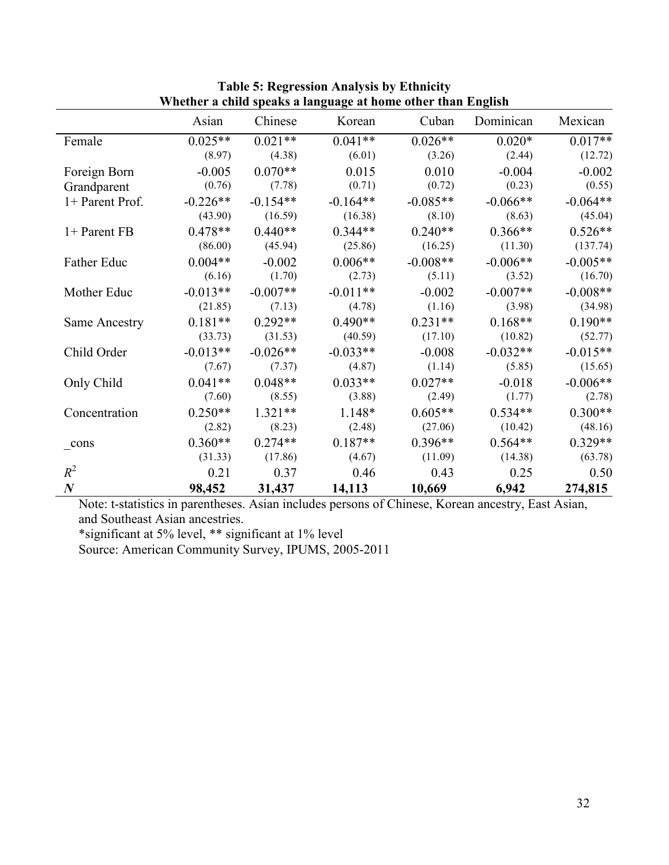|                      | Asian      | Chinese    | o nemer a enna speans a naiguage ac nome omer enan Engnish<br>Korean | Cuban      | Dominican  | Mexican    |
|----------------------|------------|------------|----------------------------------------------------------------------|------------|------------|------------|
| Female               | $0.025**$  | $0.021**$  | $0.041**$                                                            | $0.026**$  | $0.020*$   | $0.017**$  |
|                      | (8.97)     | (4.38)     | (6.01)                                                               | (3.26)     | (2.44)     | (12.72)    |
| Foreign Born         | $-0.005$   | $0.070**$  | 0.015                                                                | 0.010      | $-0.004$   | $-0.002$   |
| Grandparent          | (0.76)     | (7.78)     | (0.71)                                                               | (0.72)     | (0.23)     | (0.55)     |
| 1+ Parent Prof.      | $-0.226**$ | $-0.154**$ | $-0.164**$                                                           | $-0.085**$ | $-0.066**$ | $-0.064**$ |
|                      | (43.90)    | (16.59)    | (16.38)                                                              | (8.10)     | (8.63)     | (45.04)    |
| 1+ Parent FB         | $0.478**$  | $0.440**$  | $0.344**$                                                            | $0.240**$  | $0.366**$  | $0.526**$  |
|                      | (86.00)    | (45.94)    | (25.86)                                                              | (16.25)    | (11.30)    | (137.74)   |
| Father Educ          | $0.004**$  | $-0.002$   | $0.006**$                                                            | $-0.008**$ | $-0.006**$ | $-0.005**$ |
|                      | (6.16)     | (1.70)     | (2.73)                                                               | (5.11)     | (3.52)     | (16.70)    |
| Mother Educ          | $-0.013**$ | $-0.007**$ | $-0.011**$                                                           | $-0.002$   | $-0.007**$ | $-0.008**$ |
|                      | (21.85)    | (7.13)     | (4.78)                                                               | (1.16)     | (3.98)     | (34.98)    |
| <b>Same Ancestry</b> | $0.181**$  | $0.292**$  | $0.490**$                                                            | $0.231**$  | $0.168**$  | $0.190**$  |
|                      | (33.73)    | (31.53)    | (40.59)                                                              | (17.10)    | (10.82)    | (52.77)    |
| Child Order          | $-0.013**$ | $-0.026**$ | $-0.033**$                                                           | $-0.008$   | $-0.032**$ | $-0.015**$ |
|                      | (7.67)     | (7.37)     | (4.87)                                                               | (1.14)     | (5.85)     | (15.65)    |
| Only Child           | $0.041**$  | $0.048**$  | $0.033**$                                                            | $0.027**$  | $-0.018$   | $-0.006**$ |
|                      | (7.60)     | (8.55)     | (3.88)                                                               | (2.49)     | (1.77)     | (2.78)     |
| Concentration        | $0.250**$  | $1.321**$  | 1.148*                                                               | $0.605**$  | $0.534**$  | $0.300**$  |
|                      | (2.82)     | (8.23)     | (2.48)                                                               | (27.06)    | (10.42)    | (48.16)    |
| cons                 | $0.360**$  | $0.274**$  | $0.187**$                                                            | $0.396**$  | $0.564**$  | $0.329**$  |
|                      | (31.33)    | (17.86)    | (4.67)                                                               | (11.09)    | (14.38)    | (63.78)    |
| $R^2$                | 0.21       | 0.37       | 0.46                                                                 | 0.43       | 0.25       | 0.50       |
| $\boldsymbol{N}$     | 98,452     | 31,437     | 14,113                                                               | 10,669     | 6,942      | 274,815    |

**Table 5: Regression Analysis by Ethnicity Whether a child speaks a language at home other than English** 

Note: t-statistics in parentheses. Asian includes persons of Chinese, Korean ancestry, East Asian, and Southeast Asian ancestries.

\*significant at 5% level, \*\* significant at 1% level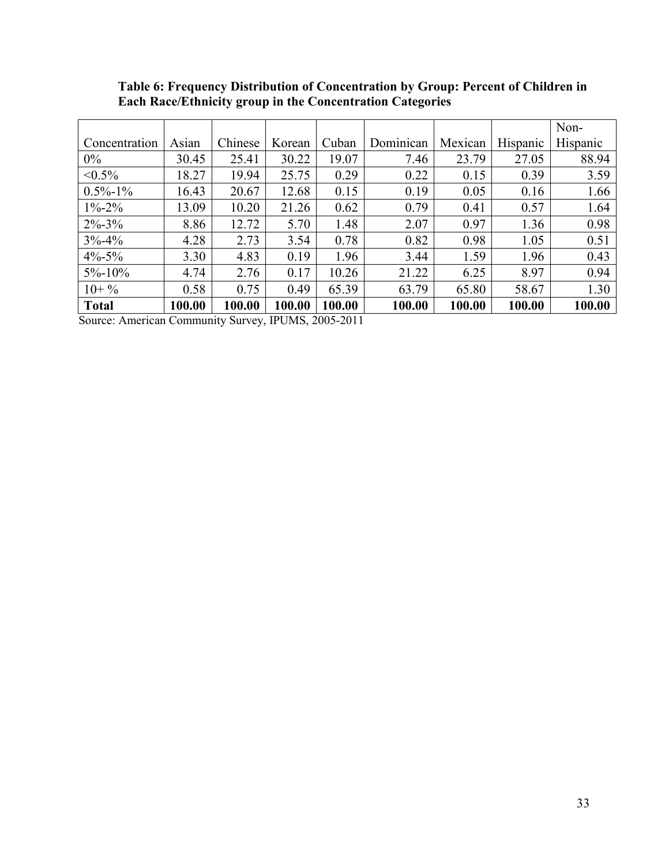|               |        |         |        |        |           |         |          | Non-     |
|---------------|--------|---------|--------|--------|-----------|---------|----------|----------|
| Concentration | Asian  | Chinese | Korean | Cuban  | Dominican | Mexican | Hispanic | Hispanic |
| $0\%$         | 30.45  | 25.41   | 30.22  | 19.07  | 7.46      | 23.79   | 27.05    | 88.94    |
| $< 0.5\%$     | 18.27  | 19.94   | 25.75  | 0.29   | 0.22      | 0.15    | 0.39     | 3.59     |
| $0.5\% - 1\%$ | 16.43  | 20.67   | 12.68  | 0.15   | 0.19      | 0.05    | 0.16     | 1.66     |
| $1\% - 2\%$   | 13.09  | 10.20   | 21.26  | 0.62   | 0.79      | 0.41    | 0.57     | 1.64     |
| $2\% - 3\%$   | 8.86   | 12.72   | 5.70   | 1.48   | 2.07      | 0.97    | 1.36     | 0.98     |
| $3\% - 4\%$   | 4.28   | 2.73    | 3.54   | 0.78   | 0.82      | 0.98    | 1.05     | 0.51     |
| $4\% - 5\%$   | 3.30   | 4.83    | 0.19   | 1.96   | 3.44      | 1.59    | 1.96     | 0.43     |
| $5\% - 10\%$  | 4.74   | 2.76    | 0.17   | 10.26  | 21.22     | 6.25    | 8.97     | 0.94     |
| $10+$ %       | 0.58   | 0.75    | 0.49   | 65.39  | 63.79     | 65.80   | 58.67    | 1.30     |
| <b>Total</b>  | 100.00 | 100.00  | 100.00 | 100.00 | 100.00    | 100.00  | 100.00   | 100.00   |

**Table 6: Frequency Distribution of Concentration by Group: Percent of Children in Each Race/Ethnicity group in the Concentration Categories**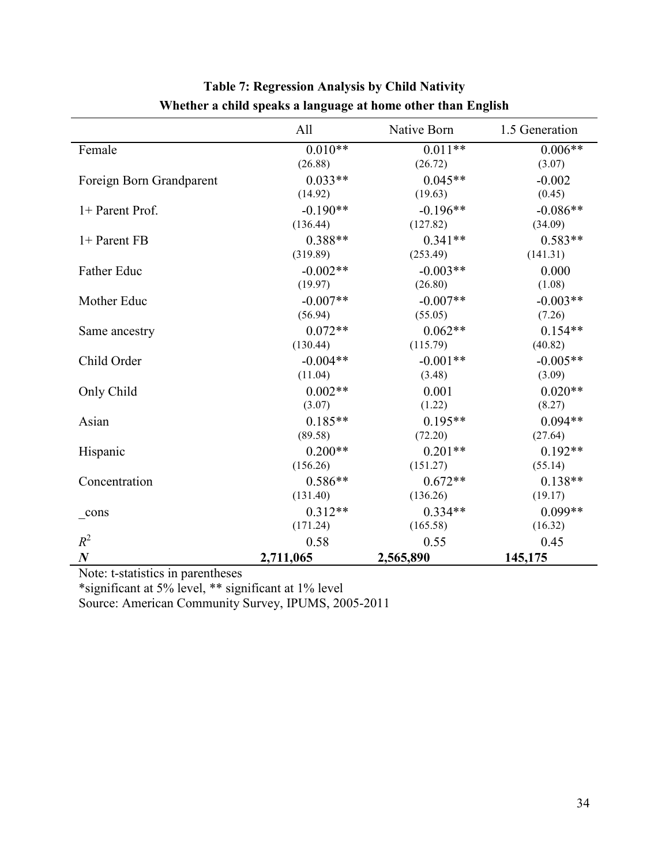|                          | All        | Native Born | 1.5 Generation |
|--------------------------|------------|-------------|----------------|
| Female                   | $0.010**$  | $0.011**$   | $0.006**$      |
|                          | (26.88)    | (26.72)     | (3.07)         |
| Foreign Born Grandparent | $0.033**$  | $0.045**$   | $-0.002$       |
|                          | (14.92)    | (19.63)     | (0.45)         |
| 1+ Parent Prof.          | $-0.190**$ | $-0.196**$  | $-0.086**$     |
|                          | (136.44)   | (127.82)    | (34.09)        |
| 1+ Parent FB             | $0.388**$  | $0.341**$   | $0.583**$      |
|                          | (319.89)   | (253.49)    | (141.31)       |
| Father Educ              | $-0.002**$ | $-0.003**$  | 0.000          |
|                          | (19.97)    | (26.80)     | (1.08)         |
| Mother Educ              | $-0.007**$ | $-0.007**$  | $-0.003**$     |
|                          | (56.94)    | (55.05)     | (7.26)         |
| Same ancestry            | $0.072**$  | $0.062**$   | $0.154**$      |
|                          | (130.44)   | (115.79)    | (40.82)        |
| Child Order              | $-0.004**$ | $-0.001**$  | $-0.005**$     |
|                          | (11.04)    | (3.48)      | (3.09)         |
| Only Child               | $0.002**$  | 0.001       | $0.020**$      |
|                          | (3.07)     | (1.22)      | (8.27)         |
| Asian                    | $0.185**$  | $0.195**$   | $0.094**$      |
|                          | (89.58)    | (72.20)     | (27.64)        |
| Hispanic                 | $0.200**$  | $0.201**$   | $0.192**$      |
|                          | (156.26)   | (151.27)    | (55.14)        |
| Concentration            | $0.586**$  | $0.672**$   | $0.138**$      |
|                          | (131.40)   | (136.26)    | (19.17)        |
| cons                     | $0.312**$  | $0.334**$   | $0.099**$      |
|                          | (171.24)   | (165.58)    | (16.32)        |
| $R^2$                    | 0.58       | 0.55        | 0.45           |
| $\boldsymbol{N}$         | 2,711,065  | 2,565,890   | 145,175        |

# **Table 7: Regression Analysis by Child Nativity Whether a child speaks a language at home other than English**

Note: t-statistics in parentheses

\*significant at 5% level, \*\* significant at 1% level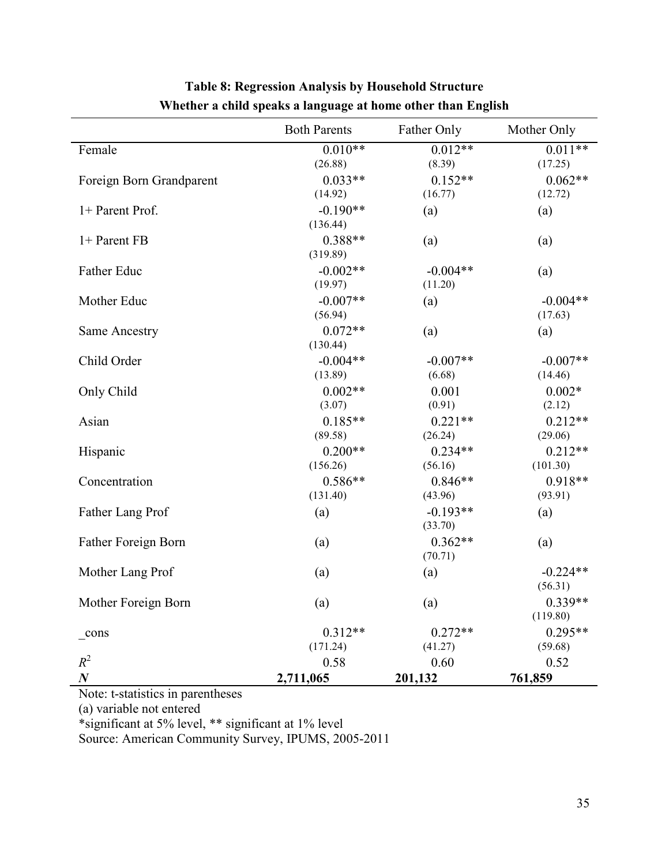|                          | <b>Both Parents</b> | Father Only | Mother Only |
|--------------------------|---------------------|-------------|-------------|
| Female                   | $0.010**$           | $0.012**$   | $0.011**$   |
|                          | (26.88)             | (8.39)      | (17.25)     |
| Foreign Born Grandparent | $0.033**$           | $0.152**$   | $0.062**$   |
|                          | (14.92)             | (16.77)     | (12.72)     |
| 1+ Parent Prof.          | $-0.190**$          | (a)         | (a)         |
|                          | (136.44)            |             |             |
| 1+ Parent FB             | $0.388**$           | (a)         | (a)         |
|                          | (319.89)            |             |             |
| Father Educ              | $-0.002**$          | $-0.004**$  | (a)         |
|                          | (19.97)             | (11.20)     |             |
| Mother Educ              | $-0.007**$          | (a)         | $-0.004**$  |
|                          | (56.94)             |             | (17.63)     |
| Same Ancestry            | $0.072**$           | (a)         | (a)         |
|                          | (130.44)            |             |             |
| Child Order              | $-0.004**$          | $-0.007**$  | $-0.007**$  |
|                          | (13.89)             | (6.68)      | (14.46)     |
| Only Child               | $0.002**$           | 0.001       | $0.002*$    |
|                          | (3.07)              | (0.91)      | (2.12)      |
| Asian                    | $0.185**$           | $0.221**$   | $0.212**$   |
|                          | (89.58)             | (26.24)     | (29.06)     |
| Hispanic                 | $0.200**$           | $0.234**$   | $0.212**$   |
|                          | (156.26)            | (56.16)     | (101.30)    |
| Concentration            | $0.586**$           | $0.846**$   | $0.918**$   |
|                          | (131.40)            | (43.96)     | (93.91)     |
| Father Lang Prof         | (a)                 | $-0.193**$  | (a)         |
|                          |                     | (33.70)     |             |
| Father Foreign Born      | (a)                 | $0.362**$   | (a)         |
|                          |                     | (70.71)     |             |
| Mother Lang Prof         | (a)                 | (a)         | $-0.224**$  |
|                          |                     |             | (56.31)     |
| Mother Foreign Born      | (a)                 | (a)         | $0.339**$   |
|                          |                     |             | (119.80)    |
| $_{\rm cons}$            | $0.312**$           | $0.272**$   | $0.295**$   |
| $R^2$                    | (171.24)            | (41.27)     | (59.68)     |
|                          | 0.58                | 0.60        | 0.52        |
| $\boldsymbol{N}$         | 2,711,065           | 201,132     | 761,859     |

# **Table 8: Regression Analysis by Household Structure Whether a child speaks a language at home other than English**

Note: t-statistics in parentheses

(a) variable not entered

Ī

\*significant at 5% level, \*\* significant at 1% level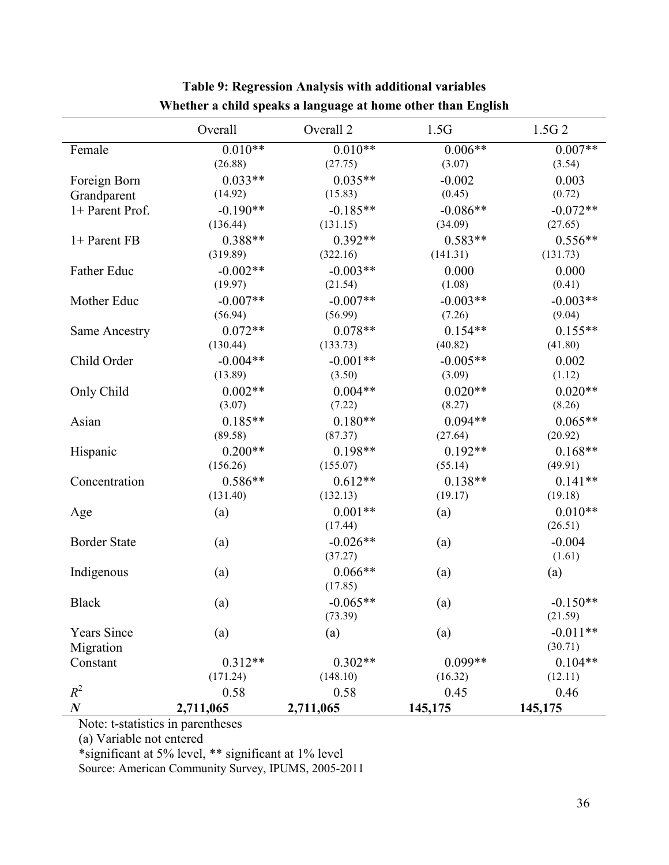|                      | Overall    | Overall 2  | 1.5G             | 1.5G <sub>2</sub> |
|----------------------|------------|------------|------------------|-------------------|
| Female               | $0.010**$  | $0.010**$  | $0.006**$        | $0.007**$         |
|                      | (26.88)    | (27.75)    | (3.07)           | (3.54)            |
| Foreign Born         | $0.033**$  | $0.035**$  | $-0.002$         | 0.003             |
| Grandparent          | (14.92)    | (15.83)    | (0.45)           | (0.72)            |
| 1+ Parent Prof.      | $-0.190**$ | $-0.185**$ | $-0.086**$       | $-0.072**$        |
|                      | (136.44)   | (131.15)   | (34.09)          | (27.65)           |
| 1+ Parent FB         | $0.388**$  | $0.392**$  | $0.583**$        | $0.556**$         |
|                      | (319.89)   | (322.16)   | (141.31)         | (131.73)          |
| Father Educ          | $-0.002**$ | $-0.003**$ | 0.000            | 0.000             |
|                      | (19.97)    | (21.54)    | (1.08)           | (0.41)            |
| Mother Educ          | $-0.007**$ | $-0.007**$ | $-0.003**$       | $-0.003**$        |
|                      | (56.94)    | (56.99)    | (7.26)           | (9.04)            |
| <b>Same Ancestry</b> | $0.072**$  | $0.078**$  | $0.154**$        | $0.155**$         |
|                      | (130.44)   | (133.73)   | (40.82)          | (41.80)           |
| Child Order          | $-0.004**$ | $-0.001**$ | $-0.005**$       | 0.002             |
|                      | (13.89)    | (3.50)     | (3.09)           | (1.12)            |
| Only Child           | $0.002**$  | $0.004**$  | $0.020**$        | $0.020**$         |
|                      | (3.07)     | (7.22)     | (8.27)           | (8.26)            |
| Asian                | $0.185**$  | $0.180**$  | $0.094**$        | $0.065**$         |
|                      | (89.58)    | (87.37)    | (27.64)          | (20.92)           |
| Hispanic             | $0.200**$  | $0.198**$  | $0.192**$        | $0.168**$         |
|                      | (156.26)   | (155.07)   | (55.14)          | (49.91)           |
| Concentration        | $0.586**$  | $0.612**$  | $0.138**$        | $0.141**$         |
|                      | (131.40)   | (132.13)   | (19.17)          | (19.18)           |
| Age                  | (a)        | $0.001**$  | (a)              | $0.010**$         |
|                      |            | (17.44)    |                  | (26.51)           |
| <b>Border State</b>  | (a)        | $-0.026**$ | (a)              | $-0.004$          |
|                      |            | (37.27)    |                  | (1.61)            |
| Indigenous           | (a)        | $0.066**$  | (a)              | (a)               |
|                      |            | (17.85)    |                  |                   |
| <b>Black</b>         | (a)        | $-0.065**$ | $\left(a\right)$ | $-0.150**$        |
|                      |            | (73.39)    |                  | (21.59)           |
| <b>Years Since</b>   | (a)        | (a)        | (a)              | $-0.011**$        |
| Migration            |            |            |                  | (30.71)           |
| Constant             | $0.312**$  | $0.302**$  | $0.099**$        | $0.104**$         |
|                      | (171.24)   | (148.10)   | (16.32)          | (12.11)           |
| $R^2$                | 0.58       | 0.58       | 0.45             | 0.46              |
| $\boldsymbol{N}$     | 2,711,065  | 2,711,065  | 145,175          | 145,175           |

### **Table 9: Regression Analysis with additional variables Whether a child speaks a language at home other than English**

Note: t-statistics in parentheses

(a) Variable not entered

\*significant at 5% level, \*\* significant at 1% level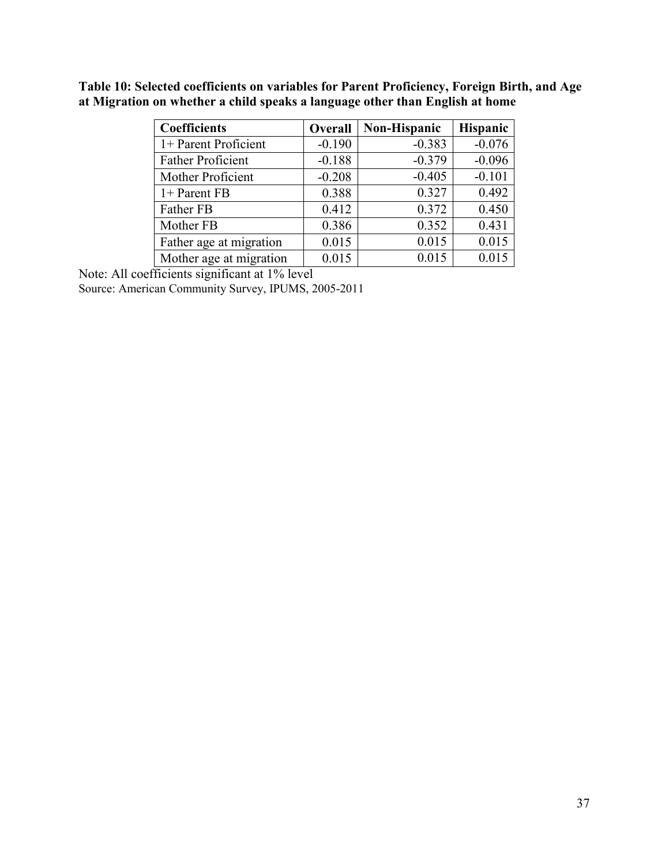| <b>Coefficients</b>      | Overall  | <b>Non-Hispanic</b> | Hispanic |
|--------------------------|----------|---------------------|----------|
| 1+ Parent Proficient     | $-0.190$ | $-0.383$            | $-0.076$ |
| <b>Father Proficient</b> | $-0.188$ | $-0.379$            | $-0.096$ |
| Mother Proficient        | $-0.208$ | $-0.405$            | $-0.101$ |
| 1+ Parent FB             | 0.388    | 0.327               | 0.492    |
| Father FB                | 0.412    | 0.372               | 0.450    |
| Mother FB                | 0.386    | 0.352               | 0.431    |
| Father age at migration  | 0.015    | 0.015               | 0.015    |
| Mother age at migration  | 0.015    | 0.015               | 0.015    |

**Table 10: Selected coefficients on variables for Parent Proficiency, Foreign Birth, and Age at Migration on whether a child speaks a language other than English at home** 

Note: All coefficients significant at 1% level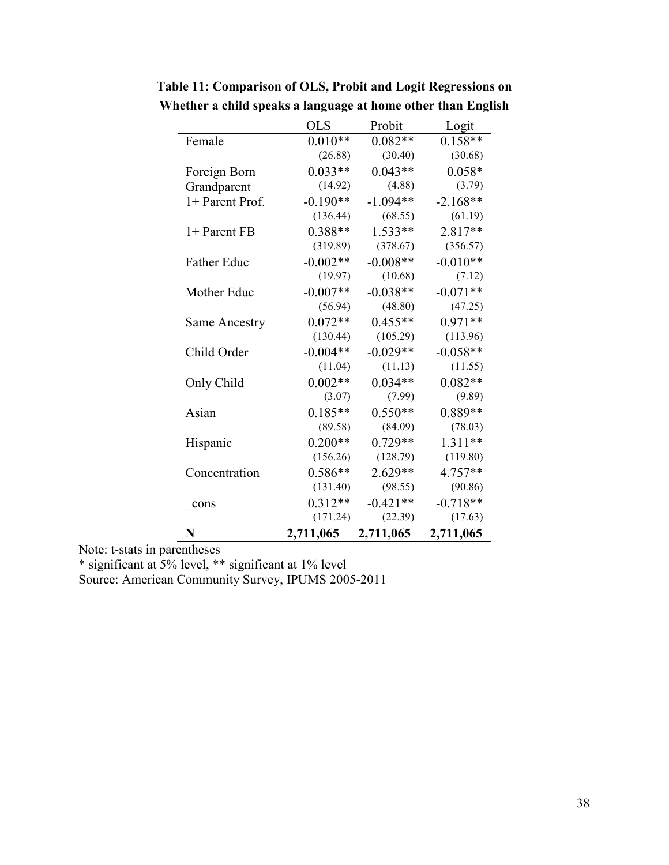|                      | <b>OLS</b> | Probit     | Logit      |
|----------------------|------------|------------|------------|
| Female               | $0.010**$  | $0.082**$  | $0.158**$  |
|                      | (26.88)    | (30.40)    | (30.68)    |
| Foreign Born         | $0.033**$  | $0.043**$  | $0.058*$   |
| Grandparent          | (14.92)    | (4.88)     | (3.79)     |
| 1+ Parent Prof.      | $-0.190**$ | $-1.094**$ | $-2.168**$ |
|                      | (136.44)   | (68.55)    | (61.19)    |
| 1+ Parent FB         | $0.388**$  | $1.533**$  | $2.817**$  |
|                      | (319.89)   | (378.67)   | (356.57)   |
| <b>Father Educ</b>   | $-0.002**$ | $-0.008**$ | $-0.010**$ |
|                      | (19.97)    | (10.68)    | (7.12)     |
| Mother Educ          | $-0.007**$ | $-0.038**$ | $-0.071**$ |
|                      | (56.94)    | (48.80)    | (47.25)    |
| <b>Same Ancestry</b> | $0.072**$  | $0.455**$  | $0.971**$  |
|                      | (130.44)   | (105.29)   | (113.96)   |
| Child Order          | $-0.004**$ | $-0.029**$ | $-0.058**$ |
|                      | (11.04)    | (11.13)    | (11.55)    |
| Only Child           | $0.002**$  | $0.034**$  | $0.082**$  |
|                      | (3.07)     | (7.99)     | (9.89)     |
| Asian                | $0.185**$  | $0.550**$  | $0.889**$  |
|                      | (89.58)    | (84.09)    | (78.03)    |
| Hispanic             | $0.200**$  | $0.729**$  | $1.311**$  |
|                      | (156.26)   | (128.79)   | (119.80)   |
| Concentration        | $0.586**$  | 2.629**    | 4.757**    |
|                      | (131.40)   | (98.55)    | (90.86)    |
| cons                 | $0.312**$  | $-0.421**$ | $-0.718**$ |
|                      | (171.24)   | (22.39)    | (17.63)    |
| N                    | 2,711,065  | 2,711,065  | 2,711,065  |

**Table 11: Comparison of OLS, Probit and Logit Regressions on Whether a child speaks a language at home other than English** 

Note: t-stats in parentheses

\* significant at 5% level, \*\* significant at 1% level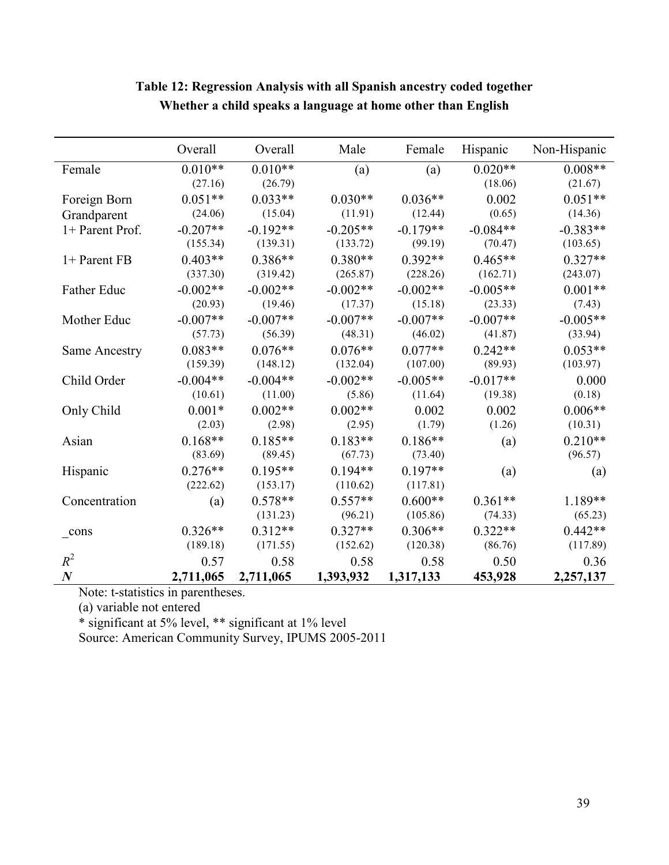|                    | Overall    | Overall    | Male       | Female     | Hispanic   | Non-Hispanic |
|--------------------|------------|------------|------------|------------|------------|--------------|
| Female             | $0.010**$  | $0.010**$  | (a)        | (a)        | $0.020**$  | $0.008**$    |
|                    | (27.16)    | (26.79)    |            |            | (18.06)    | (21.67)      |
| Foreign Born       | $0.051**$  | $0.033**$  | $0.030**$  | $0.036**$  | 0.002      | $0.051**$    |
| Grandparent        | (24.06)    | (15.04)    | (11.91)    | (12.44)    | (0.65)     | (14.36)      |
| 1+ Parent Prof.    | $-0.207**$ | $-0.192**$ | $-0.205**$ | $-0.179**$ | $-0.084**$ | $-0.383**$   |
|                    | (155.34)   | (139.31)   | (133.72)   | (99.19)    | (70.47)    | (103.65)     |
| 1+ Parent FB       | $0.403**$  | $0.386**$  | $0.380**$  | $0.392**$  | $0.465**$  | $0.327**$    |
|                    | (337.30)   | (319.42)   | (265.87)   | (228.26)   | (162.71)   | (243.07)     |
| <b>Father Educ</b> | $-0.002**$ | $-0.002**$ | $-0.002**$ | $-0.002**$ | $-0.005**$ | $0.001**$    |
|                    | (20.93)    | (19.46)    | (17.37)    | (15.18)    | (23.33)    | (7.43)       |
| Mother Educ        | $-0.007**$ | $-0.007**$ | $-0.007**$ | $-0.007**$ | $-0.007**$ | $-0.005**$   |
|                    | (57.73)    | (56.39)    | (48.31)    | (46.02)    | (41.87)    | (33.94)      |
| Same Ancestry      | $0.083**$  | $0.076**$  | $0.076**$  | $0.077**$  | $0.242**$  | $0.053**$    |
|                    | (159.39)   | (148.12)   | (132.04)   | (107.00)   | (89.93)    | (103.97)     |
| Child Order        | $-0.004**$ | $-0.004**$ | $-0.002**$ | $-0.005**$ | $-0.017**$ | 0.000        |
|                    | (10.61)    | (11.00)    | (5.86)     | (11.64)    | (19.38)    | (0.18)       |
| Only Child         | $0.001*$   | $0.002**$  | $0.002**$  | 0.002      | 0.002      | $0.006**$    |
|                    | (2.03)     | (2.98)     | (2.95)     | (1.79)     | (1.26)     | (10.31)      |
| Asian              | $0.168**$  | $0.185**$  | $0.183**$  | $0.186**$  | (a)        | $0.210**$    |
|                    | (83.69)    | (89.45)    | (67.73)    | (73.40)    |            | (96.57)      |
| Hispanic           | $0.276**$  | $0.195**$  | $0.194**$  | $0.197**$  | (a)        | (a)          |
|                    | (222.62)   | (153.17)   | (110.62)   | (117.81)   |            |              |
| Concentration      | (a)        | $0.578**$  | $0.557**$  | $0.600**$  | $0.361**$  | 1.189**      |
|                    |            | (131.23)   | (96.21)    | (105.86)   | (74.33)    | (65.23)      |
| $_{cons}$          | $0.326**$  | $0.312**$  | $0.327**$  | $0.306**$  | $0.322**$  | $0.442**$    |
|                    | (189.18)   | (171.55)   | (152.62)   | (120.38)   | (86.76)    | (117.89)     |
| $R^2$              | 0.57       | 0.58       | 0.58       | 0.58       | 0.50       | 0.36         |
| $\boldsymbol{N}$   | 2,711,065  | 2,711,065  | 1,393,932  | 1,317,133  | 453,928    | 2,257,137    |

# **Table 12: Regression Analysis with all Spanish ancestry coded together Whether a child speaks a language at home other than English**

Note: t-statistics in parentheses.

(a) variable not entered

\* significant at 5% level, \*\* significant at 1% level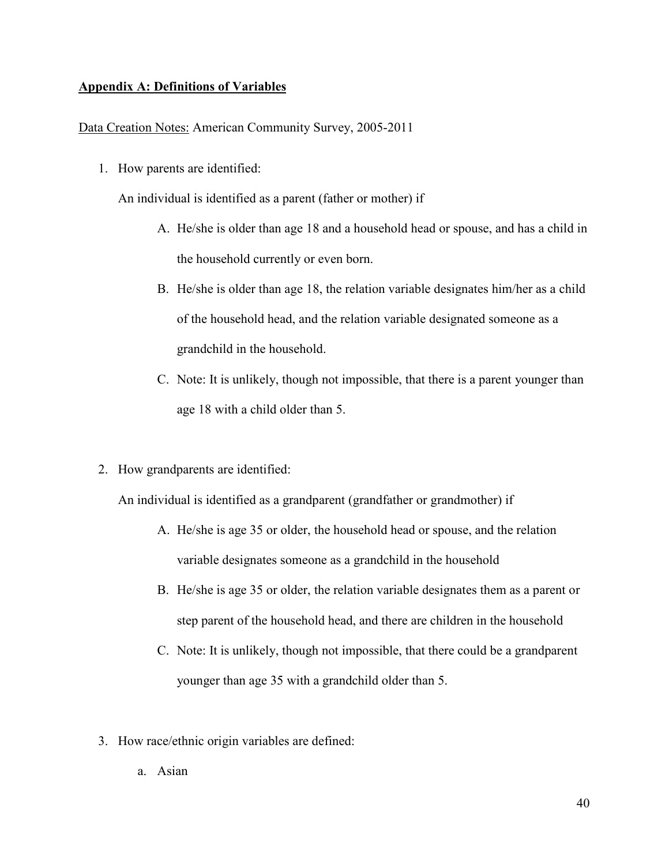#### **Appendix A: Definitions of Variables**

Data Creation Notes: American Community Survey, 2005-2011

1. How parents are identified:

An individual is identified as a parent (father or mother) if

- A. He/she is older than age 18 and a household head or spouse, and has a child in the household currently or even born.
- B. He/she is older than age 18, the relation variable designates him/her as a child of the household head, and the relation variable designated someone as a grandchild in the household.
- C. Note: It is unlikely, though not impossible, that there is a parent younger than age 18 with a child older than 5.
- 2. How grandparents are identified:

An individual is identified as a grandparent (grandfather or grandmother) if

- A. He/she is age 35 or older, the household head or spouse, and the relation variable designates someone as a grandchild in the household
- B. He/she is age 35 or older, the relation variable designates them as a parent or step parent of the household head, and there are children in the household
- C. Note: It is unlikely, though not impossible, that there could be a grandparent younger than age 35 with a grandchild older than 5.
- 3. How race/ethnic origin variables are defined:
	- a. Asian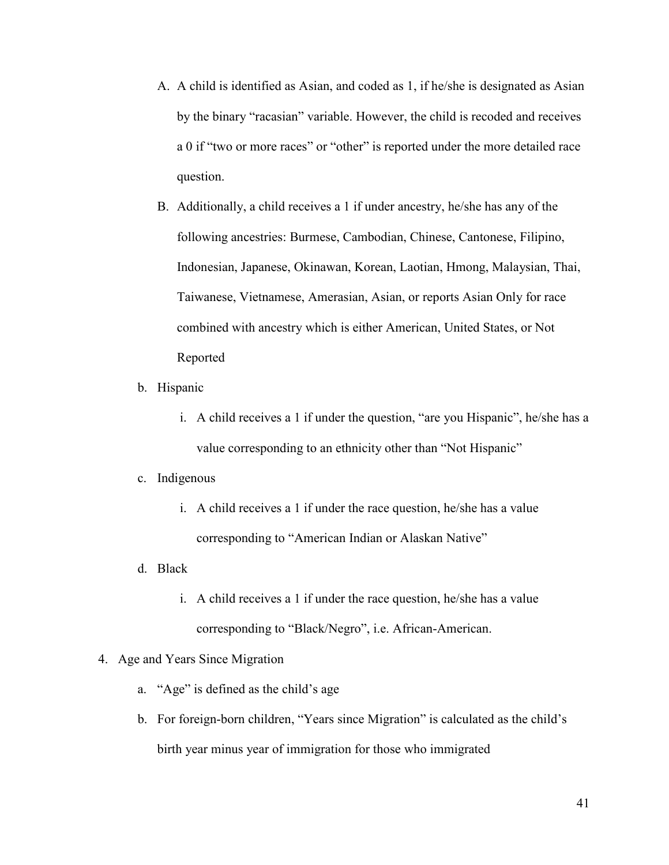- A. A child is identified as Asian, and coded as 1, if he/she is designated as Asian by the binary "racasian" variable. However, the child is recoded and receives a 0 if "two or more races" or "other" is reported under the more detailed race question.
- B. Additionally, a child receives a 1 if under ancestry, he/she has any of the following ancestries: Burmese, Cambodian, Chinese, Cantonese, Filipino, Indonesian, Japanese, Okinawan, Korean, Laotian, Hmong, Malaysian, Thai, Taiwanese, Vietnamese, Amerasian, Asian, or reports Asian Only for race combined with ancestry which is either American, United States, or Not Reported
- b. Hispanic
	- i. A child receives a 1 if under the question, "are you Hispanic", he/she has a value corresponding to an ethnicity other than "Not Hispanic"

#### c. Indigenous

- i. A child receives a 1 if under the race question, he/she has a value corresponding to "American Indian or Alaskan Native"
- d. Black
	- i. A child receives a 1 if under the race question, he/she has a value corresponding to "Black/Negro", i.e. African-American.

#### 4. Age and Years Since Migration

- a. "Age" is defined as the child's age
- b. For foreign-born children, "Years since Migration" is calculated as the child's birth year minus year of immigration for those who immigrated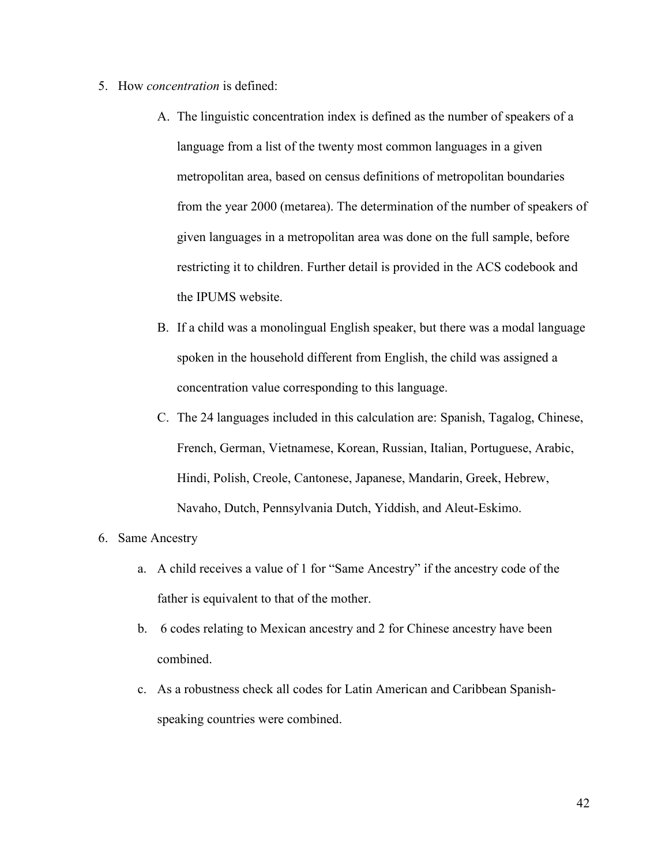- 5. How *concentration* is defined:
	- A. The linguistic concentration index is defined as the number of speakers of a language from a list of the twenty most common languages in a given metropolitan area, based on census definitions of metropolitan boundaries from the year 2000 (metarea). The determination of the number of speakers of given languages in a metropolitan area was done on the full sample, before restricting it to children. Further detail is provided in the ACS codebook and the IPUMS website.
	- B. If a child was a monolingual English speaker, but there was a modal language spoken in the household different from English, the child was assigned a concentration value corresponding to this language.
	- C. The 24 languages included in this calculation are: Spanish, Tagalog, Chinese, French, German, Vietnamese, Korean, Russian, Italian, Portuguese, Arabic, Hindi, Polish, Creole, Cantonese, Japanese, Mandarin, Greek, Hebrew, Navaho, Dutch, Pennsylvania Dutch, Yiddish, and Aleut-Eskimo.

#### 6. Same Ancestry

- a. A child receives a value of 1 for "Same Ancestry" if the ancestry code of the father is equivalent to that of the mother.
- b. 6 codes relating to Mexican ancestry and 2 for Chinese ancestry have been combined.
- c. As a robustness check all codes for Latin American and Caribbean Spanishspeaking countries were combined.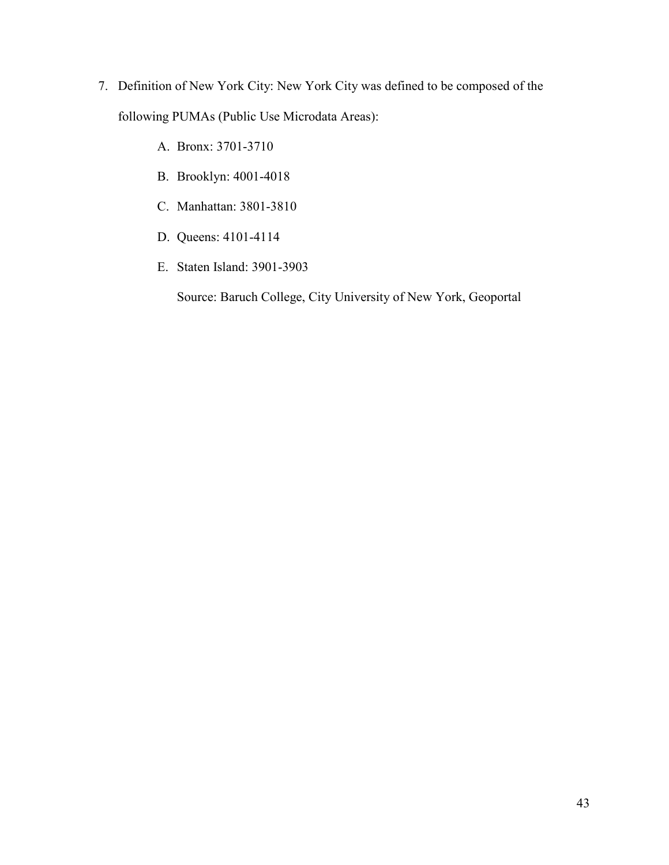- 7. Definition of New York City: New York City was defined to be composed of the following PUMAs (Public Use Microdata Areas):
	- A. Bronx: 3701-3710
	- B. Brooklyn: 4001-4018
	- C. Manhattan: 3801-3810
	- D. Queens: 4101-4114
	- E. Staten Island: 3901-3903

Source: Baruch College, City University of New York, Geoportal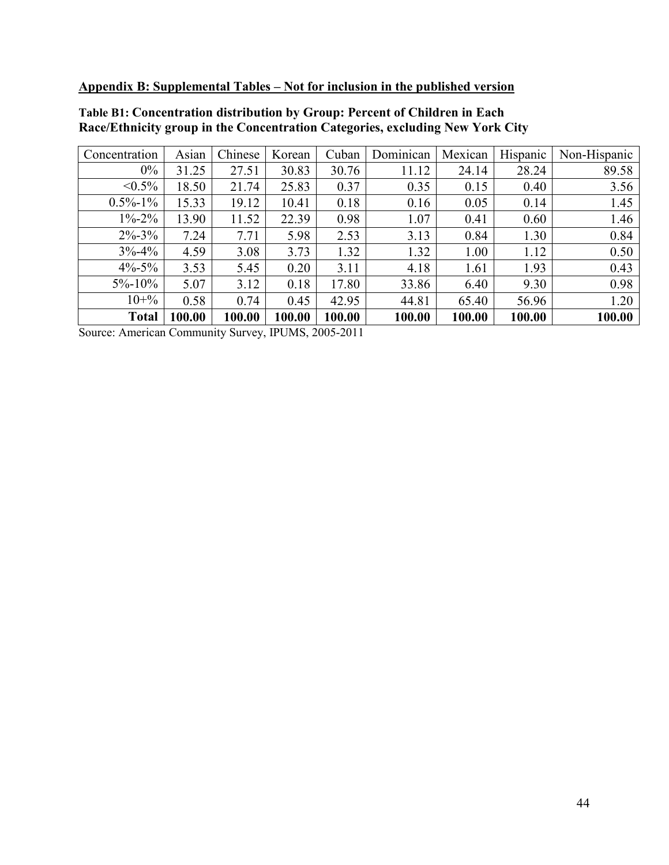**Appendix B: Supplemental Tables – Not for inclusion in the published version** 

| Concentration | Asian  | Chinese | Korean | Cuban  | Dominican | Mexican | Hispanic | Non-Hispanic |
|---------------|--------|---------|--------|--------|-----------|---------|----------|--------------|
| $0\%$         | 31.25  | 27.51   | 30.83  | 30.76  | 11.12     | 24.14   | 28.24    | 89.58        |
| $< 0.5\%$     | 18.50  | 21.74   | 25.83  | 0.37   | 0.35      | 0.15    | 0.40     | 3.56         |
| $0.5\% - 1\%$ | 15.33  | 19.12   | 10.41  | 0.18   | 0.16      | 0.05    | 0.14     | 1.45         |
| $1\% - 2\%$   | 13.90  | 11.52   | 22.39  | 0.98   | 1.07      | 0.41    | 0.60     | 1.46         |
| $2\% - 3\%$   | 7.24   | 7.71    | 5.98   | 2.53   | 3.13      | 0.84    | 1.30     | 0.84         |
| $3\% - 4\%$   | 4.59   | 3.08    | 3.73   | 1.32   | 1.32      | 1.00    | 1.12     | 0.50         |
| $4\% - 5\%$   | 3.53   | 5.45    | 0.20   | 3.11   | 4.18      | 1.61    | 1.93     | 0.43         |
| $5\% - 10\%$  | 5.07   | 3.12    | 0.18   | 17.80  | 33.86     | 6.40    | 9.30     | 0.98         |
| $10 + \%$     | 0.58   | 0.74    | 0.45   | 42.95  | 44.81     | 65.40   | 56.96    | 1.20         |
| <b>Total</b>  | 100.00 | 100.00  | 100.00 | 100.00 | 100.00    | 100.00  | 100.00   | 100.00       |

#### **Table B1: Concentration distribution by Group: Percent of Children in Each Race/Ethnicity group in the Concentration Categories, excluding New York City**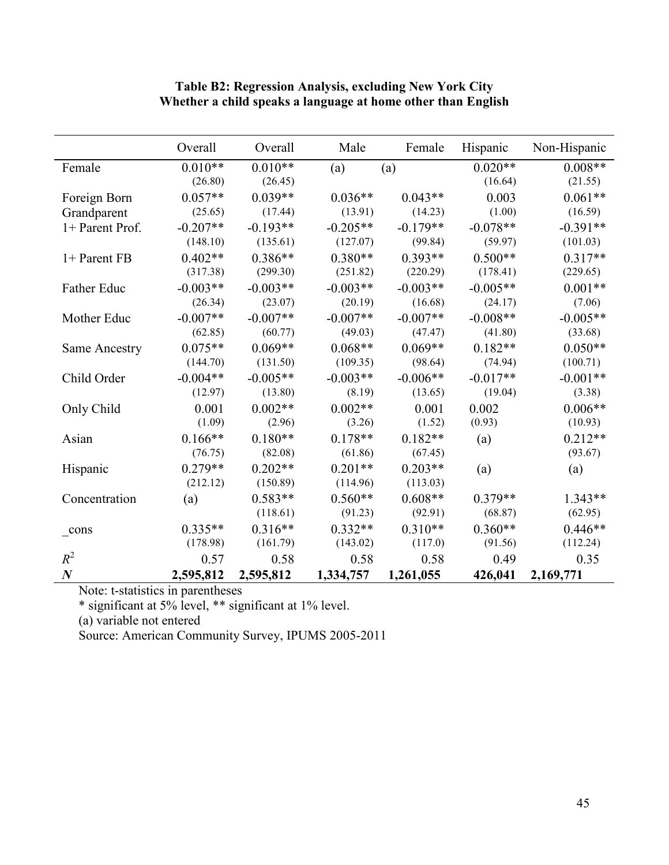|                      | Overall    | Overall    | Male       | Female     | Hispanic   | Non-Hispanic |
|----------------------|------------|------------|------------|------------|------------|--------------|
| Female               | $0.010**$  | $0.010**$  | (a)        | (a)        | $0.020**$  | $0.008**$    |
|                      | (26.80)    | (26.45)    |            |            | (16.64)    | (21.55)      |
| Foreign Born         | $0.057**$  | $0.039**$  | $0.036**$  | $0.043**$  | 0.003      | $0.061**$    |
| Grandparent          | (25.65)    | (17.44)    | (13.91)    | (14.23)    | (1.00)     | (16.59)      |
| 1+ Parent Prof.      | $-0.207**$ | $-0.193**$ | $-0.205**$ | $-0.179**$ | $-0.078**$ | $-0.391**$   |
|                      | (148.10)   | (135.61)   | (127.07)   | (99.84)    | (59.97)    | (101.03)     |
| 1+ Parent FB         | $0.402**$  | $0.386**$  | $0.380**$  | $0.393**$  | $0.500**$  | $0.317**$    |
|                      | (317.38)   | (299.30)   | (251.82)   | (220.29)   | (178.41)   | (229.65)     |
| Father Educ          | $-0.003**$ | $-0.003**$ | $-0.003**$ | $-0.003**$ | $-0.005**$ | $0.001**$    |
|                      | (26.34)    | (23.07)    | (20.19)    | (16.68)    | (24.17)    | (7.06)       |
| Mother Educ          | $-0.007**$ | $-0.007**$ | $-0.007**$ | $-0.007**$ | $-0.008**$ | $-0.005**$   |
|                      | (62.85)    | (60.77)    | (49.03)    | (47.47)    | (41.80)    | (33.68)      |
| <b>Same Ancestry</b> | $0.075**$  | $0.069**$  | $0.068**$  | $0.069**$  | $0.182**$  | $0.050**$    |
|                      | (144.70)   | (131.50)   | (109.35)   | (98.64)    | (74.94)    | (100.71)     |
| Child Order          | $-0.004**$ | $-0.005**$ | $-0.003**$ | $-0.006**$ | $-0.017**$ | $-0.001**$   |
|                      | (12.97)    | (13.80)    | (8.19)     | (13.65)    | (19.04)    | (3.38)       |
| Only Child           | 0.001      | $0.002**$  | $0.002**$  | 0.001      | 0.002      | $0.006**$    |
|                      | (1.09)     | (2.96)     | (3.26)     | (1.52)     | (0.93)     | (10.93)      |
| Asian                | $0.166**$  | $0.180**$  | $0.178**$  | $0.182**$  | (a)        | $0.212**$    |
|                      | (76.75)    | (82.08)    | (61.86)    | (67.45)    |            | (93.67)      |
| Hispanic             | $0.279**$  | $0.202**$  | $0.201**$  | $0.203**$  | (a)        | (a)          |
|                      | (212.12)   | (150.89)   | (114.96)   | (113.03)   |            |              |
| Concentration        | (a)        | $0.583**$  | $0.560**$  | $0.608**$  | $0.379**$  | $1.343**$    |
|                      |            | (118.61)   | (91.23)    | (92.91)    | (68.87)    | (62.95)      |
| cons                 | $0.335**$  | $0.316**$  | $0.332**$  | $0.310**$  | $0.360**$  | $0.446**$    |
|                      | (178.98)   | (161.79)   | (143.02)   | (117.0)    | (91.56)    | (112.24)     |
| $R^2$                | 0.57       | 0.58       | 0.58       | 0.58       | 0.49       | 0.35         |
| $\boldsymbol{N}$     | 2,595,812  | 2,595,812  | 1,334,757  | 1,261,055  | 426,041    | 2,169,771    |

#### **Table B2: Regression Analysis, excluding New York City Whether a child speaks a language at home other than English**

Note: t-statistics in parentheses

\* significant at 5% level, \*\* significant at 1% level.

(a) variable not entered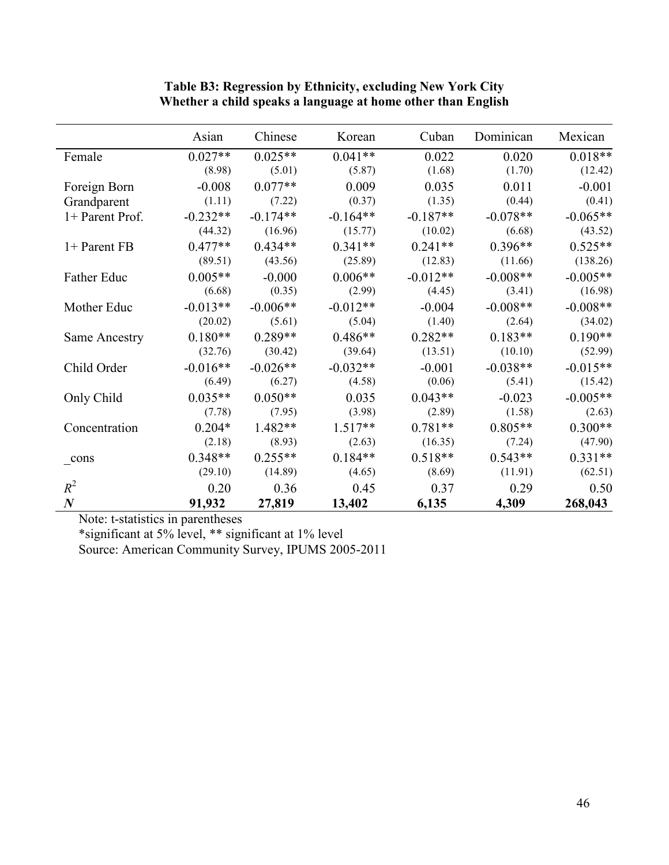|                    | Asian      | Chinese    | Korean     | Cuban      | Dominican  | Mexican    |
|--------------------|------------|------------|------------|------------|------------|------------|
| Female             | $0.027**$  | $0.025**$  | $0.041**$  | 0.022      | 0.020      | $0.018**$  |
|                    | (8.98)     | (5.01)     | (5.87)     | (1.68)     | (1.70)     | (12.42)    |
| Foreign Born       | $-0.008$   | $0.077**$  | 0.009      | 0.035      | 0.011      | $-0.001$   |
| Grandparent        | (1.11)     | (7.22)     | (0.37)     | (1.35)     | (0.44)     | (0.41)     |
| 1+ Parent Prof.    | $-0.232**$ | $-0.174**$ | $-0.164**$ | $-0.187**$ | $-0.078**$ | $-0.065**$ |
|                    | (44.32)    | (16.96)    | (15.77)    | (10.02)    | (6.68)     | (43.52)    |
| 1+ Parent FB       | $0.477**$  | $0.434**$  | $0.341**$  | $0.241**$  | $0.396**$  | $0.525**$  |
|                    | (89.51)    | (43.56)    | (25.89)    | (12.83)    | (11.66)    | (138.26)   |
| <b>Father Educ</b> | $0.005**$  | $-0.000$   | $0.006**$  | $-0.012**$ | $-0.008**$ | $-0.005**$ |
|                    | (6.68)     | (0.35)     | (2.99)     | (4.45)     | (3.41)     | (16.98)    |
| Mother Educ        | $-0.013**$ | $-0.006**$ | $-0.012**$ | $-0.004$   | $-0.008**$ | $-0.008**$ |
|                    | (20.02)    | (5.61)     | (5.04)     | (1.40)     | (2.64)     | (34.02)    |
| Same Ancestry      | $0.180**$  | $0.289**$  | $0.486**$  | $0.282**$  | $0.183**$  | $0.190**$  |
|                    | (32.76)    | (30.42)    | (39.64)    | (13.51)    | (10.10)    | (52.99)    |
| Child Order        | $-0.016**$ | $-0.026**$ | $-0.032**$ | $-0.001$   | $-0.038**$ | $-0.015**$ |
|                    | (6.49)     | (6.27)     | (4.58)     | (0.06)     | (5.41)     | (15.42)    |
| Only Child         | $0.035**$  | $0.050**$  | 0.035      | $0.043**$  | $-0.023$   | $-0.005**$ |
|                    | (7.78)     | (7.95)     | (3.98)     | (2.89)     | (1.58)     | (2.63)     |
| Concentration      | $0.204*$   | $1.482**$  | $1.517**$  | $0.781**$  | $0.805**$  | $0.300**$  |
|                    | (2.18)     | (8.93)     | (2.63)     | (16.35)    | (7.24)     | (47.90)    |
| $_{\rm cons}$      | $0.348**$  | $0.255**$  | $0.184**$  | $0.518**$  | $0.543**$  | $0.331**$  |
|                    | (29.10)    | (14.89)    | (4.65)     | (8.69)     | (11.91)    | (62.51)    |
| $R^2$              | 0.20       | 0.36       | 0.45       | 0.37       | 0.29       | 0.50       |
| $\boldsymbol{N}$   | 91,932     | 27,819     | 13,402     | 6,135      | 4,309      | 268,043    |

#### **Table B3: Regression by Ethnicity, excluding New York City Whether a child speaks a language at home other than English**

Note: t-statistics in parentheses

\*significant at 5% level, \*\* significant at 1% level